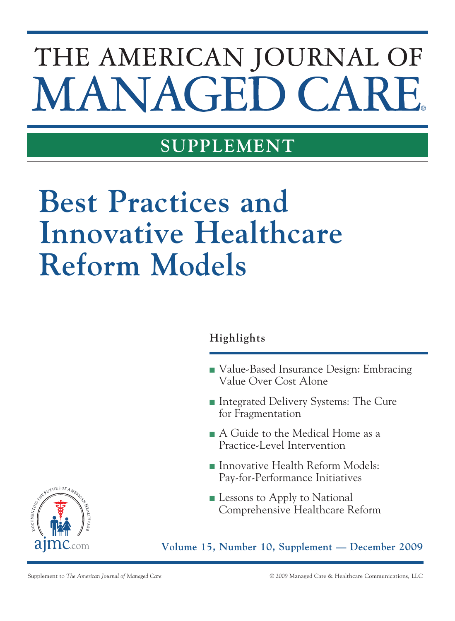# THE AMERICAN JOURNAL OF MANAGED CAI

## **supplement**

## **Best Practices and Innovative Healthcare Reform Models**

### **Highlights**

- Value-Based Insurance Design: Embracing Value Over Cost Alone
- Integrated Delivery Systems: The Cure for Fragmentation
- A Guide to the Medical Home as a Practice-Level Intervention
- **n** Innovative Health Reform Models: Pay-for-Performance Initiatives
- **Example 1** Lessons to Apply to National Comprehensive Healthcare Reform

**Volume 15, Number 10, Supplement — December 2009**

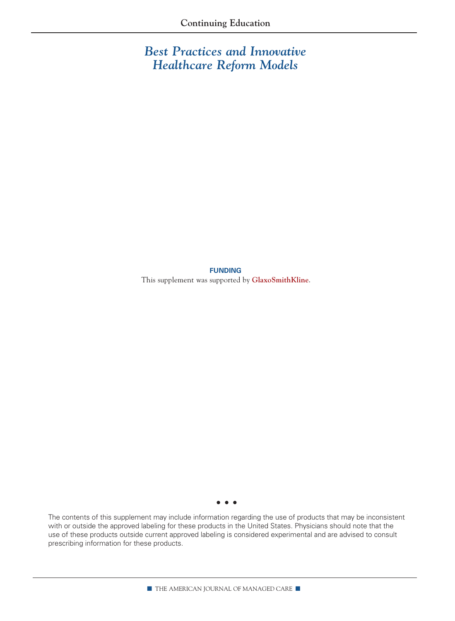*Best Practices and Innovative Healthcare Reform Models* 

**funding**

This supplement was supported by **GlaxoSmithKline**.

• • •

The contents of this supplement may include information regarding the use of products that may be inconsistent with or outside the approved labeling for these products in the United States. Physicians should note that the use of these products outside current approved labeling is considered experimental and are advised to consult prescribing information for these products.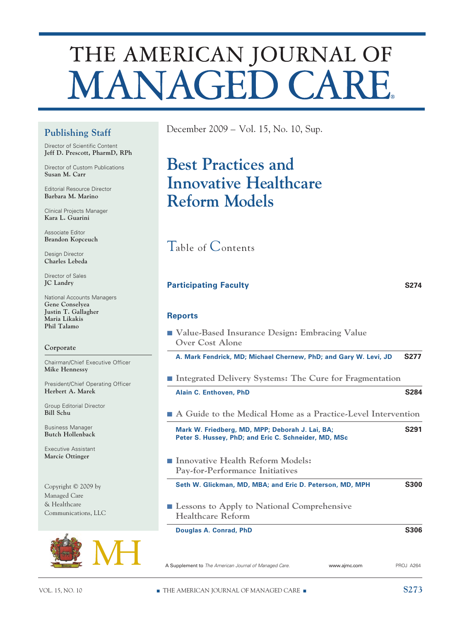## THE AMERICAN JOURNAL OF **MANAGED CARE**

### **Publishing Staff**

Director of Scientific Content **Jeff D. Prescott, PharmD, RPh**

Director of Custom Publications **Susan M. Carr**

Editorial Resource Director **Barbara M. Marino**

Clinical Projects Manager **Kara L. Guarini**

Associate Editor **Brandon Kopceuch**

Design Director **Charles Lebeda**

Director of Sales **JC Landry**

National Accounts Managers **Gene Conselyea Justin T. Gallagher Maria Likakis Phil Talamo**

#### **Corporate**

Chairman/Chief Executive Officer **Mike Hennessy**

President/Chief Operating Officer **Herbert A. Marek**

Group Editorial Director **Bill Schu**

Business Manager **Butch Hollenback**

Executive Assistant **Marcie Ottinger** 

Copyright © 2009 by Managed Care & Healthcare Communications, LLC



December 2009 – Vol. 15, No. 10, Sup.

## **Best Practices and Innovative Healthcare Reform Models**

Table of Contents

#### **Participating Faculty S274**

#### **Reports**

| ■ Value-Based Insurance Design: Embracing Value |  |  |
|-------------------------------------------------|--|--|
| Over Cost Alone                                 |  |  |

**A. Mark Fendrick, MD; Michael Chernew, PhD; and Gary W. Levi, JD S277**

- Integrated Delivery Systems: The Cure for Fragmentation
	- **Alain C. Enthoven, PhD S284**
- A Guide to the Medical Home as a Practice-Level Intervention

| Mark W. Friedberg, MD, MPP; Deborah J. Lai, BA;      | S <sub>291</sub> |
|------------------------------------------------------|------------------|
| Peter S. Hussey, PhD; and Eric C. Schneider, MD, MSc |                  |

■ **Innovative Health Reform Models: Pay-for-Performance Initiatives** 

**Seth W. Glickman, MD, MBA; and Eric D. Peterson, MD, MPH S300**

■ Lessons to Apply to National Comprehensive **Healthcare Reform** 

**Douglas A. Conrad, PhD S306** 

A Supplement to *The American Journal of Managed Care.* www.ajmc.com PROJ A264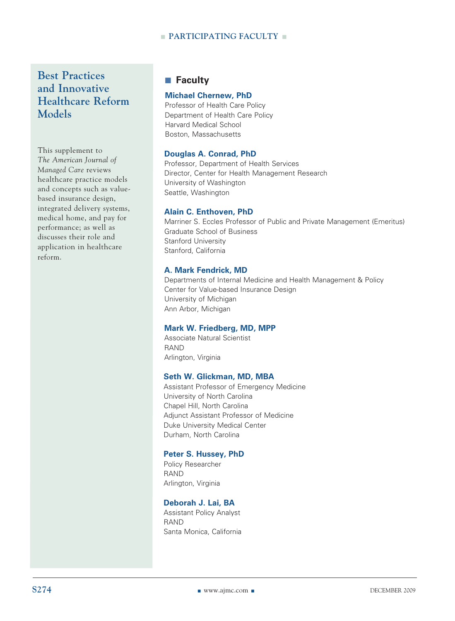#### **n PARTICIPATING FACULTY n**

**Best Practices and Innovative Healthcare Reform Models**

This supplement to *The American Journal of Managed Care* reviews healthcare practice models and concepts such as valuebased insurance design, integrated delivery systems, medical home, and pay for performance; as well as discusses their role and application in healthcare reform.

#### **■ Faculty**

#### **Michael Chernew, PhD**

 Professor of Health Care Policy Department of Health Care Policy Harvard Medical School Boston, Massachusetts

#### **Douglas A. Conrad, PhD**

Professor, Department of Health Services Director, Center for Health Management Research University of Washington Seattle, Washington

#### **Alain C. Enthoven, PhD**

Marriner S. Eccles Professor of Public and Private Management (Emeritus) Graduate School of Business Stanford University Stanford, California

#### **A. Mark Fendrick, MD**

Departments of Internal Medicine and Health Management & Policy Center for Value-based Insurance Design University of Michigan Ann Arbor, Michigan

#### **Mark W. Friedberg, MD, MPP**

Associate Natural Scientist RAND Arlington, Virginia

#### **Seth W. Glickman, MD, MBA**

Assistant Professor of Emergency Medicine University of North Carolina Chapel Hill, North Carolina Adjunct Assistant Professor of Medicine Duke University Medical Center Durham, North Carolina

#### **Peter S. Hussey, PhD**

Policy Researcher RAND Arlington, Virginia

#### **Deborah J. Lai, BA**

Assistant Policy Analyst RAND Santa Monica, California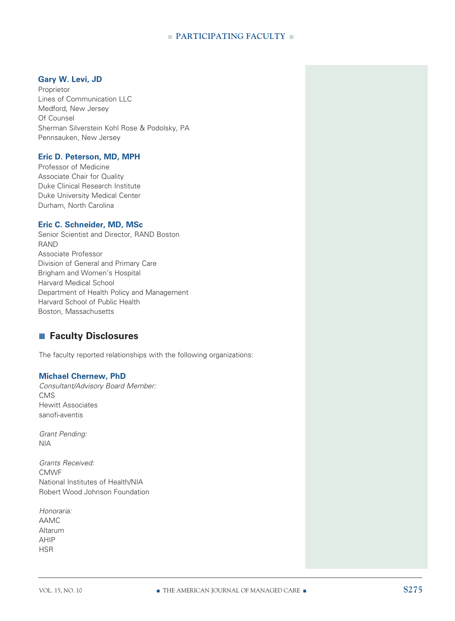#### **n PARTICIPATING FACULTY n**

#### **Gary W. Levi, JD**

Proprietor Lines of Communication LLC Medford, New Jersey Of Counsel Sherman Silverstein Kohl Rose & Podolsky, PA Pennsauken, New Jersey

#### **Eric D. Peterson, MD, MPH**

Professor of Medicine Associate Chair for Quality Duke Clinical Research Institute Duke University Medical Center Durham, North Carolina

#### **Eric C. Schneider, MD, MSc**

Senior Scientist and Director, RAND Boston RAND Associate Professor Division of General and Primary Care Brigham and Women's Hospital Harvard Medical School Department of Health Policy and Management Harvard School of Public Health Boston, Massachusetts

#### ■ Faculty Disclosures

The faculty reported relationships with the following organizations:

#### **Michael Chernew, PhD**

*Consultant/Advisory Board Member:* CMS Hewitt Associates sanofi-aventis

*Grant Pending:* NIA

*Grants Received:* CMWF National Institutes of Health/NIA Robert Wood Johnson Foundation

*Honoraria:* AAMC Altarum AHIP HSR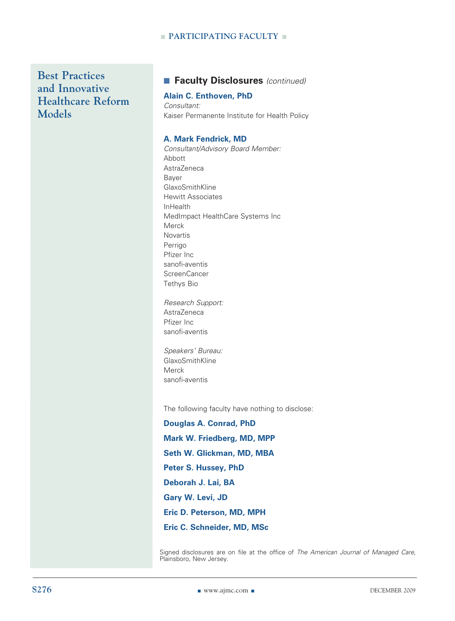#### **n PARTICIPATING FACULTY n**

**Best Practices and Innovative Healthcare Reform Models**

#### ■ Faculty Disclosures (continued)

#### **Alain C. Enthoven, PhD**

*Consultant:* Kaiser Permanente Institute for Health Policy

#### **A. Mark Fendrick, MD**

*Consultant/Advisory Board Member:* Abbott AstraZeneca Bayer GlaxoSmithKline Hewitt Associates InHealth MedImpact HealthCare Systems Inc Merck Novartis Perrigo Pfizer Inc sanofi-aventis ScreenCancer Tethys Bio

*Research Support:* AstraZeneca Pfizer Inc sanofi-aventis

*Speakers' Bureau:* GlaxoSmithKline Merck sanofi-aventis

The following faculty have nothing to disclose:

**Douglas A. Conrad, PhD Mark W. Friedberg, MD, MPP Seth W. Glickman, MD, MBA Peter S. Hussey, PhD Deborah J. Lai, BA Gary W. Levi, JD Eric D. Peterson, MD, MPH Eric C. Schneider, MD, MSc**

Signed disclosures are on file at the office of *The American Journal of Managed Care*, Plainsboro, New Jersey.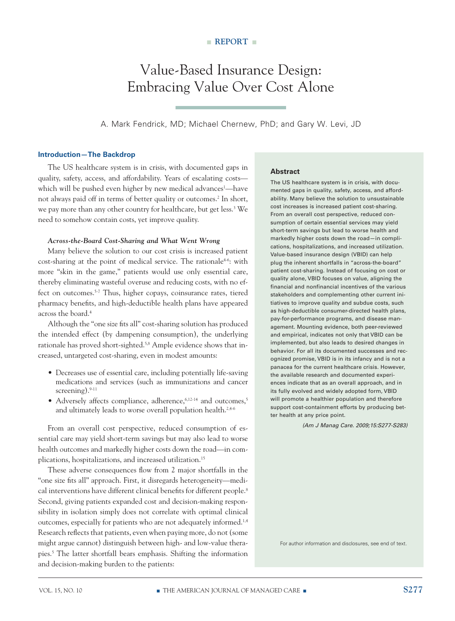## Value-Based Insurance Design: Embracing Value Over Cost Alone

A. Mark Fendrick, MD; Michael Chernew, PhD; and Gary W. Levi, JD

#### **Introduction—The Backdrop**

The US healthcare system is in crisis, with documented gaps in quality, safety, access, and affordability. Years of escalating costs which will be pushed even higher by new medical advances<sup>1</sup>—have not always paid off in terms of better quality or outcomes.<sup>2</sup> In short, we pay more than any other country for healthcare, but get less.3 We need to somehow contain costs, yet improve quality.

#### *Across-the-Board Cost-Sharing and What Went Wrong*

Many believe the solution to our cost crisis is increased patient cost-sharing at the point of medical service. The rationale<sup>4-6</sup>: with more "skin in the game," patients would use only essential care, thereby eliminating wasteful overuse and reducing costs, with no effect on outcomes.5-7 Thus, higher copays, coinsurance rates, tiered pharmacy benefits, and high-deductible health plans have appeared across the board.4

Although the "one size fits all" cost-sharing solution has produced the intended effect (by dampening consumption), the underlying rationale has proved short-sighted.<sup>5,8</sup> Ample evidence shows that increased, untargeted cost-sharing, even in modest amounts:

- Decreases use of essential care, including potentially life-saving medications and services (such as immunizations and cancer screening).<sup>9-11</sup>
- Adversely affects compliance, adherence, $6,12\times14$  and outcomes, $5$ and ultimately leads to worse overall population health.<sup>2,4-6</sup>

From an overall cost perspective, reduced consumption of essential care may yield short-term savings but may also lead to worse health outcomes and markedly higher costs down the road—in complications, hospitalizations, and increased utilization.15

These adverse consequences flow from 2 major shortfalls in the "one size fits all" approach. First, it disregards heterogeneity—medical interventions have different clinical benefits for different people.<sup>8</sup> Second, giving patients expanded cost and decision-making responsibility in isolation simply does not correlate with optimal clinical outcomes, especially for patients who are not adequately informed.1,4 Research reflects that patients, even when paying more, do not (some might argue cannot) distinguish between high- and low-value therapies.5 The latter shortfall bears emphasis. Shifting the information and decision-making burden to the patients:

#### **Abstract**

The US healthcare system is in crisis, with documented gaps in quality, safety, access, and affordability. Many believe the solution to unsustainable cost increases is increased patient cost-sharing. From an overall cost perspective, reduced consumption of certain essential services may yield short-term savings but lead to worse health and markedly higher costs down the road—in complications, hospitalizations, and increased utilization. Value-based insurance design (VBID) can help plug the inherent shortfalls in "across-the-board" patient cost-sharing. Instead of focusing on cost or quality alone, VBID focuses on value, aligning the financial and nonfinancial incentives of the various stakeholders and complementing other current initiatives to improve quality and subdue costs, such as high-deductible consumer-directed health plans, pay-for-performance programs, and disease management. Mounting evidence, both peer-reviewed and empirical, indicates not only that VBID can be implemented, but also leads to desired changes in behavior. For all its documented successes and recognized promise, VBID is in its infancy and is not a panacea for the current healthcare crisis. However, the available research and documented experiences indicate that as an overall approach, and in its fully evolved and widely adopted form, VBID will promote a healthier population and therefore support cost-containment efforts by producing better health at any price point.

*(Am J Manag Care. 2009;15:S277-S283)*

For author information and disclosures, see end of text.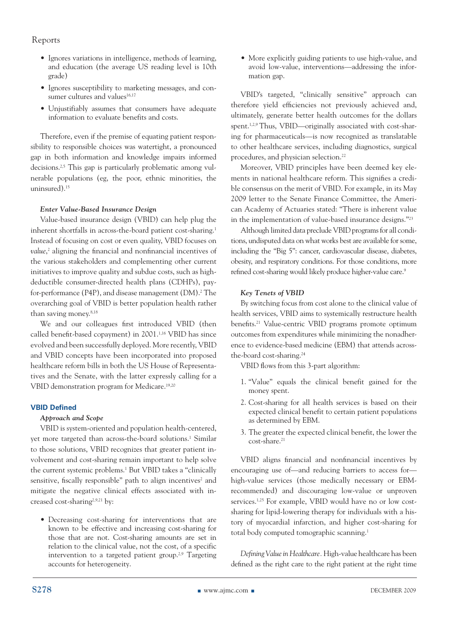- Ignores variations in intelligence, methods of learning, and education (the average US reading level is 10th grade)
- • Ignores susceptibility to marketing messages, and consumer cultures and values<sup>16,17</sup>
- Unjustifiably assumes that consumers have adequate information to evaluate benefits and costs.

Therefore, even if the premise of equating patient responsibility to responsible choices was watertight, a pronounced gap in both information and knowledge impairs informed decisions.<sup>2,5</sup> This gap is particularly problematic among vulnerable populations (eg, the poor, ethnic minorities, the uninsured).15

#### *Enter Value-Based Insurance Design*

Value-based insurance design (VBID) can help plug the inherent shortfalls in across-the-board patient cost-sharing.<sup>1</sup> Instead of focusing on cost or even quality, VBID focuses on value,<sup>2</sup> aligning the financial and nonfinancial incentives of the various stakeholders and complementing other current initiatives to improve quality and subdue costs, such as highdeductible consumer-directed health plans (CDHPs), payfor-performance (P4P), and disease management (DM).2 The overarching goal of VBID is better population health rather than saving money.<sup>8,18</sup>

We and our colleagues first introduced VBID (then called benefit-based copayment) in 2001.1,16 VBID has since evolved and been successfully deployed. More recently, VBID and VBID concepts have been incorporated into proposed healthcare reform bills in both the US House of Representatives and the Senate, with the latter expressly calling for a VBID demonstration program for Medicare.19,20

#### **VBID Defined**

#### *Approach and Scope*

VBID is system-oriented and population health-centered, yet more targeted than across-the-board solutions.<sup>1</sup> Similar to those solutions, VBID recognizes that greater patient involvement and cost-sharing remain important to help solve the current systemic problems.<sup>1</sup> But VBID takes a "clinically sensitive, fiscally responsible" path to align incentives<sup>2</sup> and mitigate the negative clinical effects associated with increased cost-sharing<sup>2,9,21</sup> by:

• Decreasing cost-sharing for interventions that are known to be effective and increasing cost-sharing for those that are not. Cost-sharing amounts are set in relation to the clinical value, not the cost, of a specific intervention to a targeted patient group.<sup>2,9</sup> Targeting accounts for heterogeneity.

• More explicitly guiding patients to use high-value, and avoid low-value, interventions—addressing the information gap.

VBID's targeted, "clinically sensitive" approach can therefore yield efficiencies not previously achieved and, ultimately, generate better health outcomes for the dollars spent.<sup>1,2,9</sup> Thus, VBID—originally associated with cost-sharing for pharmaceuticals—is now recognized as translatable to other healthcare services, including diagnostics, surgical procedures, and physician selection.<sup>22</sup>

Moreover, VBID principles have been deemed key elements in national healthcare reform. This signifies a credible consensus on the merit of VBID. For example, in its May 2009 letter to the Senate Finance Committee, the American Academy of Actuaries stated: "There is inherent value in the implementation of value-based insurance designs."23

Although limited data preclude VBID programs for all conditions, undisputed data on what works best are available for some, including the "Big 5": cancer, cardiovascular disease, diabetes, obesity, and respiratory conditions. For those conditions, more refined cost-sharing would likely produce higher-value care.<sup>9</sup>

#### *Key Tenets of VBID*

By switching focus from cost alone to the clinical value of health services, VBID aims to systemically restructure health benefits.21 Value-centric VBID programs promote optimum outcomes from expenditures while minimizing the nonadherence to evidence-based medicine (EBM) that attends acrossthe-board cost-sharing.24

VBID flows from this 3-part algorithm:

- 1. "Value" equals the clinical benefit gained for the money spent.
- 2. Cost-sharing for all health services is based on their expected clinical benefit to certain patient populations as determined by EBM.
- 3. The greater the expected clinical benefit, the lower the cost-share.21

VBID aligns financial and nonfinancial incentives by encouraging use of—and reducing barriers to access for high-value services (those medically necessary or EBMrecommended) and discouraging low-value or unproven services.<sup>1,25</sup> For example, VBID would have no or low costsharing for lipid-lowering therapy for individuals with a history of myocardial infarction, and higher cost-sharing for total body computed tomographic scanning.<sup>1</sup>

*Defining Value in Healthcare.* High-value healthcare has been defined as the right care to the right patient at the right time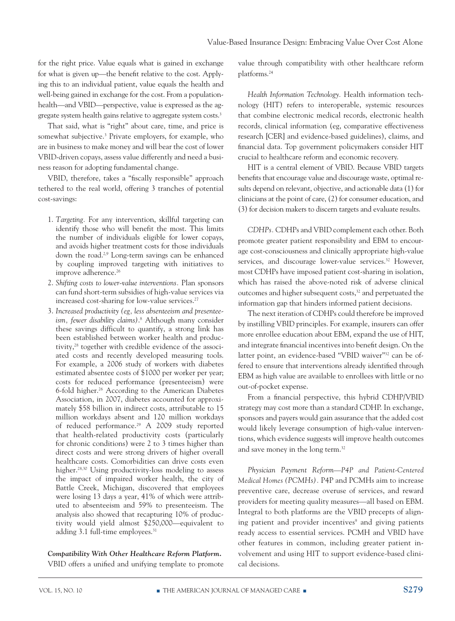for the right price. Value equals what is gained in exchange for what is given up—the benefit relative to the cost. Applying this to an individual patient, value equals the health and well-being gained in exchange for the cost. From a populationhealth—and VBID—perspective, value is expressed as the aggregate system health gains relative to aggregate system costs.<sup>3</sup>

That said, what is "right" about care, time, and price is somewhat subjective.3 Private employers, for example, who are in business to make money and will bear the cost of lower VBID-driven copays, assess value differently and need a business reason for adopting fundamental change.

VBID, therefore, takes a "fiscally responsible" approach tethered to the real world, offering 3 tranches of potential cost-savings:

- 1. *Targeting.* For any intervention, skillful targeting can identify those who will benefit the most. This limits the number of individuals eligible for lower copays, and avoids higher treatment costs for those individuals down the road.<sup>2,9</sup> Long-term savings can be enhanced by coupling improved targeting with initiatives to improve adherence.<sup>26</sup>
- 2. *Shifting costs to lower-value interventions.* Plan sponsors can fund short-term subsidies of high-value services via increased cost-sharing for low-value services.<sup>27</sup>
- 3. *Increased productivity (eg, less absenteeism and presenteeism, fewer disability claims)*. 8 Although many consider these savings difficult to quantify, a strong link has been established between worker health and productivity,<sup>28</sup> together with credible evidence of the associated costs and recently developed measuring tools. For example, a 2006 study of workers with diabetes estimated absentee costs of \$1000 per worker per year; costs for reduced performance (presenteeism) were 6-fold higher.<sup>26</sup> According to the American Diabetes Association, in 2007, diabetes accounted for approximately \$58 billion in indirect costs, attributable to 15 million workdays absent and 120 million workdays of reduced performance.29 A 2009 study reported that health-related productivity costs (particularly for chronic conditions) were 2 to 3 times higher than direct costs and were strong drivers of higher overall healthcare costs. Comorbidities can drive costs even higher.<sup>28,30</sup> Using productivity-loss modeling to assess the impact of impaired worker health, the city of Battle Creek, Michigan, discovered that employees were losing 13 days a year, 41% of which were attributed to absenteeism and 59% to presenteeism. The analysis also showed that recapturing 10% of productivity would yield almost \$250,000—equivalent to adding 3.1 full-time employees.<sup>31</sup>

#### *Compatibility With Other Healthcare Reform Platform.*

VBID offers a unified and unifying template to promote

value through compatibility with other healthcare reform platforms.24

*Health Information Technology.* Health information technology (HIT) refers to interoperable, systemic resources that combine electronic medical records, electronic health records, clinical information (eg, comparative effectiveness research [CER] and evidence-based guidelines), claims, and financial data. Top government policymakers consider HIT crucial to healthcare reform and economic recovery.

HIT is a central element of VBID. Because VBID targets benefits that encourage value and discourage waste, optimal results depend on relevant, objective, and actionable data (1) for clinicians at the point of care, (2) for consumer education, and (3) for decision makers to discern targets and evaluate results.

*CDHPs.* CDHPs and VBID complement each other. Both promote greater patient responsibility and EBM to encourage cost-consciousness and clinically appropriate high-value services, and discourage lower-value services.<sup>32</sup> However, most CDHPs have imposed patient cost-sharing in isolation, which has raised the above-noted risk of adverse clinical outcomes and higher subsequent costs,<sup>32</sup> and perpetuated the information gap that hinders informed patient decisions.

The next iteration of CDHPs could therefore be improved by instilling VBID principles. For example, insurers can offer more enrollee education about EBM, expand the use of HIT, and integrate financial incentives into benefit design. On the latter point, an evidence-based "VBID waiver"32 can be offered to ensure that interventions already identified through EBM as high value are available to enrollees with little or no out-of-pocket expense.

From a financial perspective, this hybrid CDHP/VBID strategy may cost more than a standard CDHP. In exchange, sponsors and payers would gain assurance that the added cost would likely leverage consumption of high-value interventions, which evidence suggests will improve health outcomes and save money in the long term.32

*Physician Payment Reform—P4P and Patient-Centered Medical Homes (PCMHs).* P4P and PCMHs aim to increase preventive care, decrease overuse of services, and reward providers for meeting quality measures—all based on EBM. Integral to both platforms are the VBID precepts of aligning patient and provider incentives<sup>9</sup> and giving patients ready access to essential services. PCMH and VBID have other features in common, including greater patient involvement and using HIT to support evidence-based clinical decisions.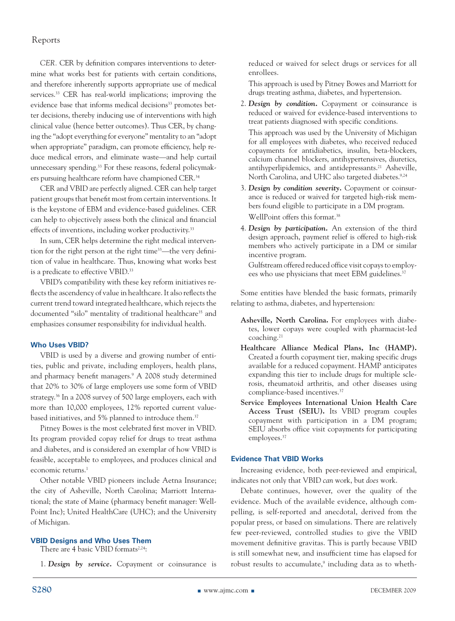*CER.* CER by definition compares interventions to determine what works best for patients with certain conditions, and therefore inherently supports appropriate use of medical services.<sup>33</sup> CER has real-world implications; improving the evidence base that informs medical decisions<sup>33</sup> promotes better decisions, thereby inducing use of interventions with high clinical value (hence better outcomes). Thus CER, by changing the "adopt everything for everyone" mentality to an "adopt when appropriate" paradigm, can promote efficiency, help reduce medical errors, and eliminate waste—and help curtail unnecessary spending.<sup>33</sup> For these reasons, federal policymakers pursuing healthcare reform have championed CER.<sup>34</sup>

CER and VBID are perfectly aligned. CER can help target patient groups that benefit most from certain interventions. It is the keystone of EBM and evidence-based guidelines. CER can help to objectively assess both the clinical and financial effects of inventions, including worker productivity.<sup>33</sup>

In sum, CER helps determine the right medical intervention for the right person at the right time<sup>33</sup>—the very definition of value in healthcare. Thus, knowing what works best is a predicate to effective VBID.<sup>33</sup>

VBID's compatibility with these key reform initiatives reflects the ascendency of value in healthcare. It also reflects the current trend toward integrated healthcare, which rejects the documented "silo" mentality of traditional healthcare<sup>35</sup> and emphasizes consumer responsibility for individual health.

#### **Who Uses VBID?**

VBID is used by a diverse and growing number of entities, public and private, including employers, health plans, and pharmacy benefit managers.9 A 2008 study determined that 20% to 30% of large employers use some form of VBID strategy.36 In a 2008 survey of 500 large employers, each with more than 10,000 employees, 12% reported current valuebased initiatives, and 5% planned to introduce them.<sup>37</sup>

Pitney Bowes is the most celebrated first mover in VBID. Its program provided copay relief for drugs to treat asthma and diabetes, and is considered an exemplar of how VBID is feasible, acceptable to employees, and produces clinical and economic returns.<sup>1</sup>

Other notable VBID pioneers include Aetna Insurance; the city of Asheville, North Carolina; Marriott International; the state of Maine (pharmacy benefit manager: Well-Point Inc); United HealthCare (UHC); and the University of Michigan.

#### **VBID Designs and Who Uses Them**

There are 4 basic VBID formats<sup>2,24</sup>:

1. *Design by service.* Copayment or coinsurance is

reduced or waived for select drugs or services for all enrollees.

This approach is used by Pitney Bowes and Marriott for drugs treating asthma, diabetes, and hypertension.

2. *Design by condition.* Copayment or coinsurance is reduced or waived for evidence-based interventions to treat patients diagnosed with specific conditions.

This approach was used by the University of Michigan for all employees with diabetes, who received reduced copayments for antidiabetics, insulin, beta-blockers, calcium channel blockers, antihypertensives, diuretics, antihyperlipidemics, and antidepressants.<sup>21</sup> Asheville, North Carolina, and UHC also targeted diabetes.<sup>9,24</sup>

- 3. *Design by condition severity.* Copayment or coinsurance is reduced or waived for targeted high-risk members found eligible to participate in a DM program. WellPoint offers this format.<sup>38</sup>
- 4. *Design by participation.* An extension of the third design approach, payment relief is offered to high-risk members who actively participate in a DM or similar incentive program.

 Gulfstream offered reduced office visit copays to employees who use physicians that meet EBM guidelines.<sup>37</sup>

Some entities have blended the basic formats, primarily relating to asthma, diabetes, and hypertension:

- **Asheville, North Carolina.** For employees with diabetes, lower copays were coupled with pharmacist-led coaching.21
- **Healthcare Alliance Medical Plans, Inc (HAMP).** Created a fourth copayment tier, making specific drugs available for a reduced copayment. HAMP anticipates expanding this tier to include drugs for multiple sclerosis, rheumatoid arthritis, and other diseases using compliance-based incentives.<sup>37</sup>
- **Service Employees International Union Health Care Access Trust (SEIU).** Its VBID program couples copayment with participation in a DM program; SEIU absorbs office visit copayments for participating employees.<sup>37</sup>

#### **Evidence That VBID Works**

Increasing evidence, both peer-reviewed and empirical, indicates not only that VBID *can* work, but *does* work.

Debate continues, however, over the quality of the evidence. Much of the available evidence, although compelling, is self-reported and anecdotal, derived from the popular press, or based on simulations. There are relatively few peer-reviewed, controlled studies to give the VBID movement definitive gravitas. This is partly because VBID is still somewhat new, and insufficient time has elapsed for robust results to accumulate,<sup>9</sup> including data as to wheth-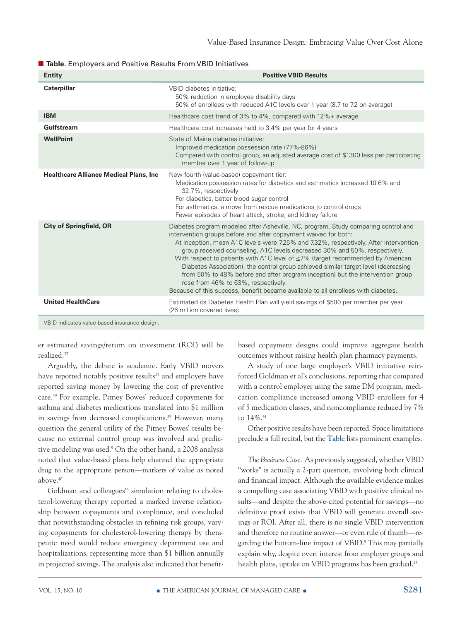| <b>Entity</b>                                  | <b>Positive VBID Results</b>                                                                                                                                                                                                                                                                                                                                                                                                                                                                                                                                                                                                                                                                                            |
|------------------------------------------------|-------------------------------------------------------------------------------------------------------------------------------------------------------------------------------------------------------------------------------------------------------------------------------------------------------------------------------------------------------------------------------------------------------------------------------------------------------------------------------------------------------------------------------------------------------------------------------------------------------------------------------------------------------------------------------------------------------------------------|
| <b>Caterpillar</b>                             | VBID diabetes initiative:<br>50% reduction in employee disability days<br>50% of enrollees with reduced A1C levels over 1 year (8.7 to 7.2 on average)                                                                                                                                                                                                                                                                                                                                                                                                                                                                                                                                                                  |
| <b>IBM</b>                                     | Healthcare cost trend of 3% to 4%, compared with 12%+ average                                                                                                                                                                                                                                                                                                                                                                                                                                                                                                                                                                                                                                                           |
| Gulfstream                                     | Healthcare cost increases held to 3.4% per year for 4 years                                                                                                                                                                                                                                                                                                                                                                                                                                                                                                                                                                                                                                                             |
| <b>WellPoint</b>                               | State of Maine diabetes initiative:<br>Improved medication possession rate (77%-86%)<br>Compared with control group, an adjusted average cost of \$1300 less per participating<br>member over 1 year of follow-up                                                                                                                                                                                                                                                                                                                                                                                                                                                                                                       |
| <b>Healthcare Alliance Medical Plans, Inc.</b> | New fourth (value-based) copayment tier:<br>Medication possession rates for diabetics and asthmatics increased 10.6% and<br>32.7%, respectively<br>For diabetics, better blood sugar control<br>For asthmatics, a move from rescue medications to control drugs<br>Fewer episodes of heart attack, stroke, and kidney failure                                                                                                                                                                                                                                                                                                                                                                                           |
| <b>City of Springfield, OR</b>                 | Diabetes program modeled after Asheville, NC, program. Study comparing control and<br>intervention groups before and after copayment waived for both:<br>At inception, mean A1C levels were 7.25% and 7.32%, respectively. After intervention<br>group received counseling, A1C levels decreased 30% and 50%, respectively.<br>With respect to patients with A1C level of $\leq$ 7% (target recommended by American<br>Diabetes Association), the control group achieved similar target level (decreasing<br>from 50% to 48% before and after program inception) but the intervention group<br>rose from 46% to 63%, respectively.<br>Because of this success, benefit became available to all enrollees with diabetes. |
| <b>United HealthCare</b>                       | Estimated its Diabetes Health Plan will yield savings of \$500 per member per year<br>(26 million covered lives).                                                                                                                                                                                                                                                                                                                                                                                                                                                                                                                                                                                                       |

■ **Table**. Employers and Positive Results From VBID Initiatives

VBID indicates value-based insurance design.

er estimated savings/return on investment (ROI) will be realized.37

Arguably, the debate is academic. Early VBID movers have reported notably positive results<sup>27</sup> and employers have reported saving money by lowering the cost of preventive care.39 For example, Pitney Bowes' reduced copayments for asthma and diabetes medications translated into \$1 million in savings from decreased complications.<sup>39</sup> However, many question the general utility of the Pitney Bowes' results because no external control group was involved and predictive modeling was used.9 On the other hand, a 2008 analysis noted that value-based plans help channel the appropriate drug to the appropriate person—markers of value as noted above.40

Goldman and colleagues<sup>36</sup> simulation relating to cholesterol-lowering therapy reported a marked inverse relationship between copayments and compliance, and concluded that notwithstanding obstacles in refining risk groups, varying copayments for cholesterol-lowering therapy by therapeutic need would reduce emergency department use and hospitalizations, representing more than \$1 billion annually in projected savings. The analysis also indicated that benefitbased copayment designs could improve aggregate health outcomes without raising health plan pharmacy payments.

A study of one large employer's VBID initiative reinforced Goldman et al's conclusions, reporting that compared with a control employer using the same DM program, medication compliance increased among VBID enrollees for 4 of 5 medication classes, and noncompliance reduced by 7% to 14%.<sup>41</sup>

Other positive results have been reported. Space limitations preclude a full recital, but the **Table** lists prominent examples.

*The Business Case.* As previously suggested, whether VBID "works" is actually a 2-part question, involving both clinical and financial impact. Although the available evidence makes a compelling case associating VBID with positive clinical results—and despite the above-cited potential for savings—no definitive proof exists that VBID will generate overall savings or ROI. After all, there is no single VBID intervention and therefore no routine answer—or even rule of thumb—regarding the bottom-line impact of VBID. 9 This may partially explain why, despite overt interest from employer groups and health plans, uptake on VBID programs has been gradual.<sup>24</sup>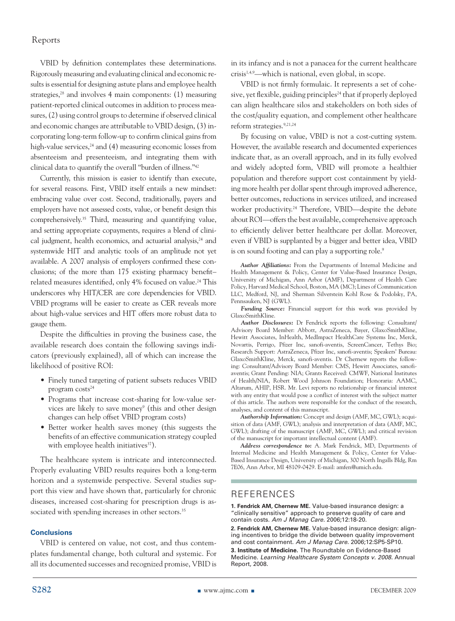VBID by definition contemplates these determinations. Rigorously measuring and evaluating clinical and economic results is essential for designing astute plans and employee health strategies,<sup>28</sup> and involves 4 main components: (1) measuring patient-reported clinical outcomes in addition to process measures, (2) using control groups to determine if observed clinical and economic changes are attributable to VBID design, (3) incorporating long-term follow-up to confirm clinical gains from high-value services,  $24$  and (4) measuring economic losses from absenteeism and presenteeism, and integrating them with clinical data to quantify the overall "burden of illness."42

Currently, this mission is easier to identify than execute, for several reasons. First, VBID itself entails a new mindset: embracing value over cost. Second, traditionally, payers and employers have not assessed costs, value, or benefit design this comprehensively.35 Third, measuring and quantifying value, and setting appropriate copayments, requires a blend of clinical judgment, health economics, and actuarial analysis,<sup>24</sup> and systemwide HIT and analytic tools of an amplitude not yet available. A 2007 analysis of employers confirmed these conclusions; of the more than 175 existing pharmacy benefit– related measures identified, only 4% focused on value.<sup>24</sup> This underscores why HIT/CER are core dependencies for VBID. VBID programs will be easier to create as CER reveals more about high-value services and HIT offers more robust data to gauge them.

Despite the difficulties in proving the business case, the available research does contain the following savings indicators (previously explained), all of which can increase the likelihood of positive ROI:

- Finely tuned targeting of patient subsets reduces VBID program  $costs<sup>24</sup>$
- Programs that increase cost-sharing for low-value services are likely to save money<sup>9</sup> (this and other design changes can help offset VBID program costs)
- Better worker health saves money (this suggests the benefits of an effective communication strategy coupled with employee health initiatives<sup>37</sup>).

The healthcare system is intricate and interconnected. Properly evaluating VBID results requires both a long-term horizon and a systemwide perspective. Several studies support this view and have shown that, particularly for chronic diseases, increased cost-sharing for prescription drugs is associated with spending increases in other sectors.<sup>35</sup>

#### **Conclusions**

VBID is centered on value, not cost, and thus contemplates fundamental change, both cultural and systemic. For all its documented successes and recognized promise, VBID is in its infancy and is not a panacea for the current healthcare crisis1,4,9—which is national, even global, in scope.

VBID is not firmly formulaic. It represents a set of cohesive, yet flexible, guiding principles<sup>24</sup> that if properly deployed can align healthcare silos and stakeholders on both sides of the cost/quality equation, and complement other healthcare reform strategies.9,21,24

By focusing on value, VBID is not a cost-cutting system. However, the available research and documented experiences indicate that, as an overall approach, and in its fully evolved and widely adopted form, VBID will promote a healthier population and therefore support cost containment by yielding more health per dollar spent through improved adherence, better outcomes, reductions in services utilized, and increased worker productivity.<sup>24</sup> Therefore, VBID—despite the debate about ROI—offers the best available, comprehensive approach to efficiently deliver better healthcare per dollar. Moreover, even if VBID is supplanted by a bigger and better idea, VBID is on sound footing and can play a supporting role.<sup>9</sup>

*Author Affiliations:* From the Departments of Internal Medicine and Health Management & Policy, Center for Value-Based Insurance Design, University of Michigan, Ann Arbor (AMF), Department of Health Care Policy, Harvard Medical School, Boston, MA (MC); Lines of Communication LLC, Medford, NJ, and Sherman Silverstein Kohl Rose & Podolsky, PA, Pennsauken, NJ (GWL).

*Funding Source:* Financial support for this work was provided by GlaxoSmithKline.

*Author Disclosures:* Dr Fendrick reports the following: Consultant/ Advisory Board Member: Abbott, AstraZeneca, Bayer, GlaxoSmithKline, Hewitt Associates, InHealth, MedImpact HealthCare Systems Inc, Merck, Novartis, Perrigo, Pfizer Inc, sanofi-aventis, ScreenCancer, Tethys Bio; Research Support: AstraZeneca, Pfizer Inc, sanofi-aventis; Speakers' Bureau: GlaxoSmithKline, Merck, sanofi-aventis. Dr Chernew reports the following: Consultant/Advisory Board Member: CMS, Hewitt Associates, sanofiaventis; Grant Pending: NIA; Grants Received: CMWF, National Institutes of Health/NIA, Robert Wood Johnson Foundation; Honoraria: AAMC, Altarum, AHIP, HSR. Mr. Levi reports no relationship or financial interest with any entity that would pose a conflict of interest with the subject matter of this article. The authors were responsible for the conduct of the research, analyses, and content of this manuscript.

*Authorship Information:* Concept and design (AMF, MC, GWL); acquisition of data (AMF, GWL); analysis and interpretation of data (AMF, MC, GWL); drafting of the manuscript (AMF, MC, GWL); and critical revision of the manuscript for important intellectual content (AMF).

*Address correspondence to:* A. Mark Fendrick, MD, Departments of Internal Medicine and Health Management & Policy, Center for Value-Based Insurance Design, University of Michigan, 300 North Ingalls Bldg, Rm 7E06, Ann Arbor, MI 48109-0429. E-mail: amfen@umich.edu.

#### References

**1. Fendrick AM, Chernew ME.** Value-based insurance design: a "clinically sensitive" approach to preserve quality of care and contain costs. *Am J Manag Care.* 2006;12:18-20.

**2. Fendrick AM, Chernew ME.** Value-based insurance design: aligning incentives to bridge the divide between quality improvement and cost containment. *Am J Manag Care.* 2006;12:SP5-SP10.

**3. Institute of Medicine.** The Roundtable on Evidence-Based Medicine. *Learning Healthcare System Concepts v. 2008.* Annual Report, 2008.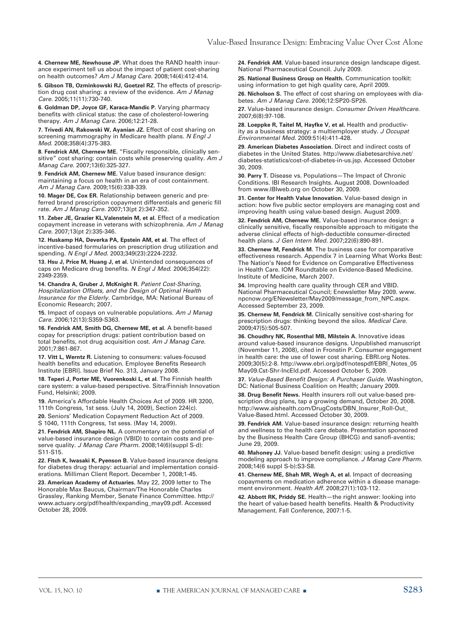**4. Chernew ME, Newhouse JP.** What does the RAND health insurance experiment tell us about the impact of patient cost-sharing on health outcomes? *Am J Manag Care.* 2008;14(4):412-414.

**5. Gibson TB, Ozminkowski RJ, Goetzel RZ.** The effects of prescription drug cost sharing: a review of the evidence. *Am J Manag Care.* 2005;11(11):730-740.

**6. Goldman DP, Joyce GF, Karaca-Mandic P.** Varying pharmacy benefits with clinical status: the case of cholesterol-lowering therapy. *Am J Manag Care.* 2006;12:21-28.

**7. Trivedi AN, Rakowski W, Ayanian JZ.** Effect of cost sharing on screening mammography in Medicare health plans. *N Engl J Med.* 2008;358(4):375-383.

**8. Fendrick AM, Chernew ME.** "Fiscally responsible, clinically sensitive" cost sharing: contain costs while preserving quality. *Am J Manag Care.* 2007;13(6):325-327.

**9. Fendrick AM, Chernew ME.** Value based insurance design: maintaining a focus on health in an era of cost containment. *Am J Manag Care.* 2009;15(6):338-339.

**10. Mager DE, Cox ER.** Relationship between generic and preferred brand prescription copayment differentials and generic fill rate. *Am J Manag Care.* 2007;13(pt 2):347-352.

**11. Zeber JE, Grazier KL,Valenstein M, et al.** Effect of a medication copayment increase in veterans with schizophrenia. *Am J Manag Care.* 2007;13(pt 2):335-346.

**12. Huskamp HA, Deverka PA, Epstein AM, et al.** The effect of incentive-based formularies on prescription drug utilization and spending. *N Engl J Med.* 2003;349(23):2224-2232.

**13. Hsu J, Price M, Huang J, et al.** Unintended consequences of caps on Medicare drug benefits. *N Engl J Med.* 2006;354(22): 2349-2359.

**14. Chandra A, Gruber J, McKnight R.** *Patient Cost-Sharing, Hospitalization Offsets, and the Design of Optimal Health Insurance for the Elderly.* Cambridge, MA: National Bureau of Economic Research; 2007.

**15.** Impact of copays on vulnerable populations. *Am J Manag Care.* 2006;12(13):S359-S363.

**16. Fendrick AM, Smith DG, Chernew ME, et al.** A benefit-based copay for prescription drugs: patient contribution based on total benefits, not drug acquisition cost. *Am J Manag Care.* 2001;7:861-867.

**17. Vitt L, Werntz R.** Listening to consumers: values-focused health benefits and education. Employee Benefits Research Institute [EBRI]. Issue Brief No. 313, January 2008.

**18. Teperi J, Porter ME, Vuorenkoski L, et al.** The Finnish health care system: a value-based perspective. Sitra/Finnish Innovation Fund, Helsinki; 2009.

**19.** America's Affordable Health Choices Act of 2009. HR 3200, 111th Congress, 1st sess. (July 14, 2009), Section 224(c).

**20.** Seniors' Medication Copayment Reduction Act of 2009. S 1040, 111th Congress, 1st sess. (May 14, 2009).

**21. Fendrick AM, Shapiro NL.** A commentary on the potential of value-based insurance design (VBID) to contain costs and preserve quality. *J Manag Care Pharm.* 2008;14(6)(suppl S-d): S11-S15.

**22. Fitch K, Iwasaki K, Pyenson B.** Value-based insurance designs for diabetes drug therapy: actuarial and implementation considerations. Milliman Client Report. December 1, 2008;1-45.

**23. American Academy of Actuaries.** May 22, 2009 letter to The Honorable Max Baucus, Chairman/The Honorable Charles Grassley, Ranking Member, Senate Finance Committee. http:// www.actuary.org/pdf/health/expanding\_may09.pdf. Accessed October 28, 2009.

**24. Fendrick AM.** Value-based insurance design landscape digest. National Pharmaceutical Council. July 2009.

**25. National Business Group on Health.** Communication toolkit: using information to get high quality care, April 2009. **26. Nicholson S.** The effect of cost sharing on employees with dia-

betes. *Am J Manag Care.* 2006;12:SP20-SP26.

**27.** Value-based insurance design. *Consumer Driven Healthcare.* 2007;6(8):97-108.

28. Loeppke R, Taitel M, Hayfke V, et al. Health and productivity as a business strategy: a multiemployer study. *J Occupat Environmental Med.* 2009:51(4):411-428.

**29. American Diabetes Association.** Direct and indirect costs of diabetes in the United States. http://www.diabetesarchive.net/ diabetes-statistics/cost-of-diabetes-in-us.jsp. Accessed October 30, 2009.

**30. Parry T.** Disease vs. Populations—The Impact of Chronic Conditions. IBI Research Insights. August 2008. Downloaded from www.IBIweb.org on October 30, 2009.

**31. Center for Health Value Innovation.** Value-based design in action: how five public sector employers are managing cost and improving health using value-based design. August 2009.

**32. Fendrick AM, Chernew ME.** Value-based insurance design: a clinically sensitive, fiscally responsible approach to mitigate the adverse clinical effects of high-deductible consumer-directed health plans. *J Gen Intern Med.* 2007;22(6):890-891.

**33. Chernew M, Fendrick M.** The business case for comparative effectiveness research. Appendix 7 in Learning What Works Best: The Nation's Need for Evidence on Comparative Effectiveness in Health Care. IOM Roundtable on Evidence-Based Medicine. Institute of Medicine, March 2007.

**34.** Improving health care quality through CER and VBID. National Pharmaceutical Council; Enewsletter May 2009. www. npcnow.org/ENewsletter/May2009/message\_from\_NPC.aspx. Accessed September 23, 2009.

**35. Chernew M, Fendrick M.** Clinically sensitive cost-sharing for prescription drugs: thinking beyond the silos. *Medical Care.* 2009;47(5):505-507.

**36. Choudhry NK, Rosenthal MB, Milstein A.** Innovative ideas around value-based insurance designs. Unpublished manuscript (November 11, 2008), cited in Fronstin P. Consumer engagement in health care: the use of lower cost sharing. EBRI.org Notes. 2009;30(5):2-8. http://www.ebri.org/pdf/notespdf/EBRI\_Notes\_05 May09.Cst-Shr-IncEld.pdf. Accessed October 5, 2009.

**37.** *Value-Based Benefit Design: A Purchaser Guide.* Washington, DC: National Business Coalition on Health; January 2009.

**38. Drug Benefit News.** Health insurers roll out value-based prescription drug plans, tap a growing demand, October 20, 2008. http://www.aishealth.com/DrugCosts/DBN\_Insurer\_Roll-Out\_ Value-Based.html. Accessed October 30, 2009.

**39. Fendrick AM.** Value-based insurance design: returning health and wellness to the health care debate. Presentation sponsored by the Business Health Care Group (BHCG) and sanofi-aventis; June 29, 2009.

**40. Mahoney JJ.** Value-based benefit design: using a predictive modeling approach to improve compliance. *J Manag Care Pharm.* 2008;14(6 suppl S-b):S3-S8.

**41. Chernew ME, Shah MR, Wegh A, et al.** Impact of decreasing copayments on medication adherence within a disease management environment. *Health Aff.* 2008;27(1):103-112.

**42. Abbott RK, Priddy SE.** Health—the right answer: looking into the heart of value-based health benefits. Health & Productivity Management. Fall Conference, 2007:1-5.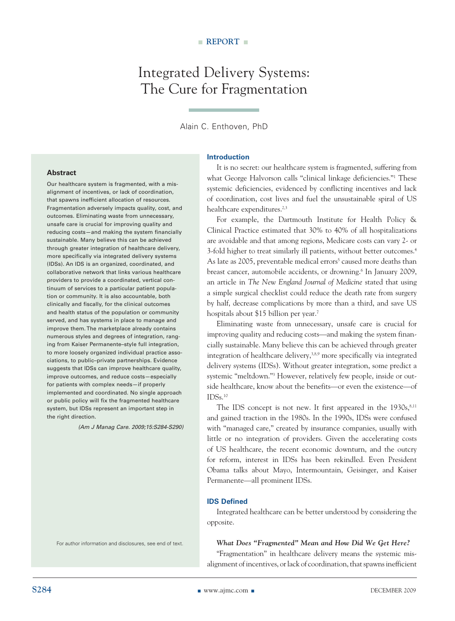## Integrated Delivery Systems: The Cure for Fragmentation

#### Alain C. Enthoven, PhD

#### **Introduction**

**Abstract**

Our healthcare system is fragmented, with a misalignment of incentives, or lack of coordination, that spawns inefficient allocation of resources. Fragmentation adversely impacts quality, cost, and outcomes. Eliminating waste from unnecessary, unsafe care is crucial for improving quality and reducing costs—and making the system financially sustainable. Many believe this can be achieved through greater integration of healthcare delivery, more specifically via integrated delivery systems (IDSs). An IDS is an organized, coordinated, and collaborative network that links various healthcare providers to provide a coordinated, vertical continuum of services to a particular patient population or community. It is also accountable, both clinically and fiscally, for the clinical outcomes and health status of the population or community served, and has systems in place to manage and improve them. The marketplace already contains numerous styles and degrees of integration, ranging from Kaiser Permanente–style full integration, to more loosely organized individual practice associations, to public–private partnerships. Evidence suggests that IDSs can improve healthcare quality, improve outcomes, and reduce costs—especially for patients with complex needs—if properly implemented and coordinated. No single approach or public policy will fix the fragmented healthcare system, but IDSs represent an important step in the right direction.

*(Am J Manag Care. 2009;15:S284-S290)*

For author information and disclosures, see end of text.

It is no secret: our healthcare system is fragmented, suffering from what George Halvorson calls "clinical linkage deficiencies."1 These systemic deficiencies, evidenced by conflicting incentives and lack of coordination, cost lives and fuel the unsustainable spiral of US healthcare expenditures.<sup>2,3</sup>

For example, the Dartmouth Institute for Health Policy & Clinical Practice estimated that 30% to 40% of all hospitalizations are avoidable and that among regions, Medicare costs can vary 2- or 3-fold higher to treat similarly ill patients, without better outcomes.4 As late as 2005, preventable medical errors<sup>5</sup> caused more deaths than breast cancer, automobile accidents, or drowning.<sup>6</sup> In January 2009, an article in *The New England Journal of Medicine* stated that using a simple surgical checklist could reduce the death rate from surgery by half, decrease complications by more than a third, and save US hospitals about \$15 billion per year.7

Eliminating waste from unnecessary, unsafe care is crucial for improving quality and reducing costs—and making the system financially sustainable. Many believe this can be achieved through greater integration of healthcare delivery,3,8,9 more specifically via integrated delivery systems (IDSs). Without greater integration, some predict a systemic "meltdown."3 However, relatively few people, inside or outside healthcare, know about the benefits—or even the existence—of IDSs.10

The IDS concept is not new. It first appeared in the  $1930s$ ,  $8,11$ and gained traction in the 1980s. In the 1990s, IDSs were confused with "managed care," created by insurance companies, usually with little or no integration of providers. Given the accelerating costs of US healthcare, the recent economic downturn, and the outcry for reform, interest in IDSs has been rekindled. Even President Obama talks about Mayo, Intermountain, Geisinger, and Kaiser Permanente—all prominent IDSs.

#### **IDS Defined**

Integrated healthcare can be better understood by considering the opposite.

*What Does "Fragmented" Mean and How Did We Get Here?* "Fragmentation" in healthcare delivery means the systemic misalignment of incentives, or lack of coordination, that spawns inefficient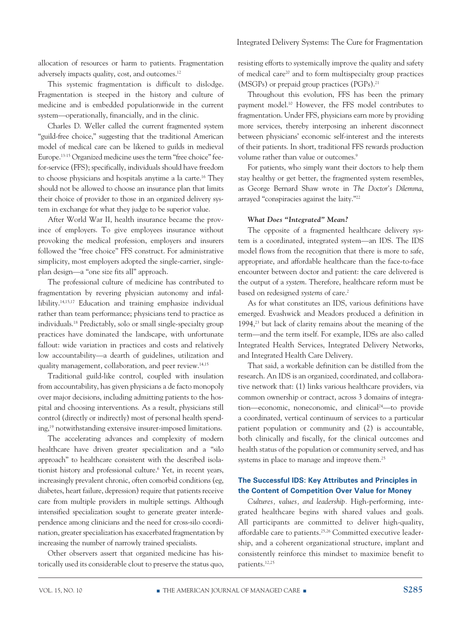allocation of resources or harm to patients. Fragmentation adversely impacts quality, cost, and outcomes.12

This systemic fragmentation is difficult to dislodge. Fragmentation is steeped in the history and culture of medicine and is embedded populationwide in the current system—operationally, financially, and in the clinic.

Charles D. Weller called the current fragmented system "guild-free choice," suggesting that the traditional American model of medical care can be likened to guilds in medieval Europe.13-15 Organized medicine uses the term "free choice" feefor-service (FFS); specifically, individuals should have freedom to choose physicians and hospitals anytime a la carte.16 They should not be allowed to choose an insurance plan that limits their choice of provider to those in an organized delivery system in exchange for what they judge to be superior value.

After World War II, health insurance became the province of employers. To give employees insurance without provoking the medical profession, employers and insurers followed the "free choice" FFS construct. For administrative simplicity, most employers adopted the single-carrier, singleplan design—a "one size fits all" approach.

The professional culture of medicine has contributed to fragmentation by revering physician autonomy and infallibility.14,15,17 Education and training emphasize individual rather than team performance; physicians tend to practice as individuals.18 Predictably, solo or small single-specialty group practices have dominated the landscape, with unfortunate fallout: wide variation in practices and costs and relatively low accountability—a dearth of guidelines, utilization and quality management, collaboration, and peer review.14,15

Traditional guild-like control, coupled with insulation from accountability, has given physicians a de facto monopoly over major decisions, including admitting patients to the hospital and choosing interventions. As a result, physicians still control (directly or indirectly) most of personal health spending,19 notwithstanding extensive insurer-imposed limitations.

The accelerating advances and complexity of modern healthcare have driven greater specialization and a "silo approach" to healthcare consistent with the described isolationist history and professional culture.6 Yet, in recent years, increasingly prevalent chronic, often comorbid conditions (eg, diabetes, heart failure, depression) require that patients receive care from multiple providers in multiple settings. Although intensified specialization sought to generate greater interdependence among clinicians and the need for cross-silo coordination, greater specialization has exacerbated fragmentation by increasing the number of narrowly trained specialists.

Other observers assert that organized medicine has historically used its considerable clout to preserve the status quo, resisting efforts to systemically improve the quality and safety of medical care<sup>20</sup> and to form multispecialty group practices (MSGPs) or prepaid group practices (PGPs).21

Throughout this evolution, FFS has been the primary payment model.10 However, the FFS model contributes to fragmentation. Under FFS, physicians earn more by providing more services, thereby interposing an inherent disconnect between physicians' economic self-interest and the interests of their patients. In short, traditional FFS rewards production volume rather than value or outcomes.<sup>9</sup>

For patients, who simply want their doctors to help them stay healthy or get better, the fragmented system resembles, as George Bernard Shaw wrote in *The Doctor's Dilemma*, arrayed "conspiracies against the laity."22

#### *What Does "Integrated" Mean?*

The opposite of a fragmented healthcare delivery system is a coordinated, integrated system—an IDS. The IDS model flows from the recognition that there is more to safe, appropriate, and affordable healthcare than the face-to-face encounter between doctor and patient: the care delivered is the output of a *system*. Therefore, healthcare reform must be based on redesigned *systems* of care.<sup>2</sup>

As for what constitutes an IDS, various definitions have emerged. Evashwick and Meadors produced a definition in 1994,23 but lack of clarity remains about the meaning of the term—and the term itself. For example, IDSs are also called Integrated Health Services, Integrated Delivery Networks, and Integrated Health Care Delivery.

That said, a workable definition can be distilled from the research. An IDS is an organized, coordinated, and collaborative network that: (1) links various healthcare providers, via common ownership or contract, across 3 domains of integration—economic, noneconomic, and clinical24—to provide a coordinated, vertical continuum of services to a particular patient population or community and (2) is accountable, both clinically and fiscally, for the clinical outcomes and health status of the population or community served, and has systems in place to manage and improve them.<sup>25</sup>

#### **The Successful IDS: Key Attributes and Principles in the Content of Competition Over Value for Money**

*Cultures, values, and leadership.* High-performing, integrated healthcare begins with shared values and goals. All participants are committed to deliver high-quality, affordable care to patients.<sup>25,26</sup> Committed executive leadership, and a coherent organizational structure, implant and consistently reinforce this mindset to maximize benefit to patients.12,25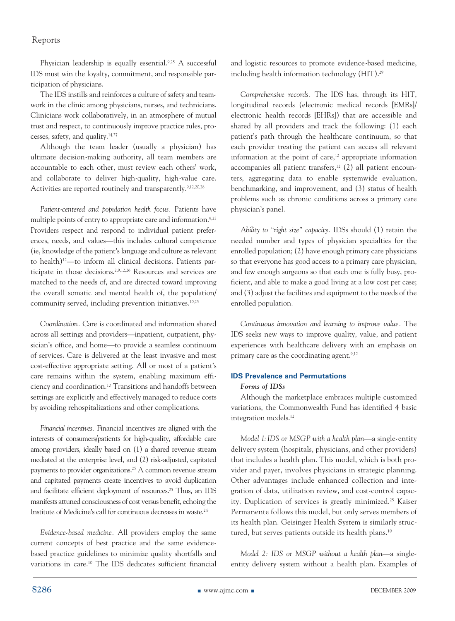Physician leadership is equally essential.<sup>9,25</sup> A successful IDS must win the loyalty, commitment, and responsible participation of physicians.

The IDS instills and reinforces a culture of safety and teamwork in the clinic among physicians, nurses, and technicians. Clinicians work collaboratively, in an atmosphere of mutual trust and respect, to continuously improve practice rules, processes, safety, and quality.14,27

Although the team leader (usually a physician) has ultimate decision-making authority, all team members are accountable to each other, must review each others' work, and collaborate to deliver high-quality, high-value care. Activities are reported routinely and transparently.<sup>9,12,20,28</sup>

*Patient-centered and population health focus.* Patients have multiple points of entry to appropriate care and information.<sup>9,25</sup> Providers respect and respond to individual patient preferences, needs, and values—this includes cultural competence (ie, knowledge of the patient's language and culture as relevant to health)12—to inform all clinical decisions. Patients participate in those decisions.2,9,12,26 Resources and services are matched to the needs of, and are directed toward improving the overall somatic and mental health of, the population/ community served, including prevention initiatives.10,25

*Coordination.* Care is coordinated and information shared across all settings and providers—inpatient, outpatient, physician's office, and home—to provide a seamless continuum of services. Care is delivered at the least invasive and most cost-effective appropriate setting. All or most of a patient's care remains within the system, enabling maximum efficiency and coordination.10 Transitions and handoffs between settings are explicitly and effectively managed to reduce costs by avoiding rehospitalizations and other complications.

*Financial incentives.* Financial incentives are aligned with the interests of consumers/patients for high-quality, affordable care among providers, ideally based on (1) a shared revenue stream mediated at the enterprise level, and (2) risk-adjusted, capitated payments to provider organizations.25 A common revenue stream and capitated payments create incentives to avoid duplication and facilitate efficient deployment of resources.25 Thus, an IDS manifests attuned consciousness of cost versus benefit, echoing the Institute of Medicine's call for continuous decreases in waste.<sup>2,8</sup>

*Evidence-based medicine.* All providers employ the same current concepts of best practice and the same evidencebased practice guidelines to minimize quality shortfalls and variations in care.10 The IDS dedicates sufficient financial and logistic resources to promote evidence-based medicine, including health information technology (HIT).<sup>29</sup>

*Comprehensive records.* The IDS has, through its HIT, longitudinal records (electronic medical records [EMRs]/ electronic health records [EHRs]) that are accessible and shared by all providers and track the following: (1) each patient's path through the healthcare continuum, so that each provider treating the patient can access all relevant information at the point of care, $12$  appropriate information accompanies all patient transfers,<sup>12</sup>  $(2)$  all patient encounters, aggregating data to enable systemwide evaluation, benchmarking, and improvement, and (3) status of health problems such as chronic conditions across a primary care physician's panel.

*Ability to "right size" capacity.* IDSs should (1) retain the needed number and types of physician specialties for the enrolled population; (2) have enough primary care physicians so that everyone has good access to a primary care physician, and few enough surgeons so that each one is fully busy, proficient, and able to make a good living at a low cost per case; and (3) adjust the facilities and equipment to the needs of the enrolled population.

*Continuous innovation and learning to improve value.* The IDS seeks new ways to improve quality, value, and patient experiences with healthcare delivery with an emphasis on primary care as the coordinating agent.9,12

#### **IDS Prevalence and Permutations**

#### *Forms of IDSs*

Although the marketplace embraces multiple customized variations, the Commonwealth Fund has identified 4 basic integration models.12

*Model 1: IDS or MSGP with a health plan*—a single-entity delivery system (hospitals, physicians, and other providers) that includes a health plan. This model, which is both provider and payer, involves physicians in strategic planning. Other advantages include enhanced collection and integration of data, utilization review, and cost-control capacity. Duplication of services is greatly minimized.25 Kaiser Permanente follows this model, but only serves members of its health plan. Geisinger Health System is similarly structured, but serves patients outside its health plans.<sup>10</sup>

*Model 2: IDS or MSGP without a health plan*—a singleentity delivery system without a health plan. Examples of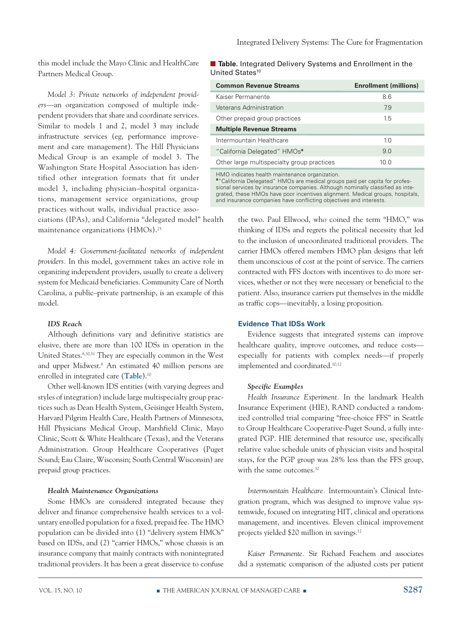this model include the Mayo Clinic and HealthCare Partners Medical Group.

*Model 3: Private networks of independent providers*—an organization composed of multiple independent providers that share and coordinate services. Similar to models 1 and 2, model 3 may include infrastructure services (eg, performance improvement and care management). The Hill Physicians Medical Group is an example of model 3. The Washington State Hospital Association has identified other integration formats that fit under model 3, including physician–hospital organizations, management service organizations, group practices without walls, individual practice asso-

ciations (IPAs), and California "delegated model" health maintenance organizations (HMOs).25

*Model 4: Government-facilitated networks of independent providers.* In this model, government takes an active role in organizing independent providers, usually to create a delivery system for Medicaid beneficiaries. Community Care of North Carolina, a public–private partnership, is an example of this model.

#### *IDS Reach*

Although definitions vary and definitive statistics are elusive, there are more than 100 IDSs in operation in the United States.8,30,31 They are especially common in the West and upper Midwest.<sup>8</sup> An estimated 40 million persons are enrolled in integrated care (**Table**).10

Other well-known IDS entities (with varying degrees and styles of integration) include large multispecialty group practices such as Dean Health System, Geisinger Health System, Harvard Pilgrim Health Care, Health Partners of Minnesota, Hill Physicians Medical Group, Marshfield Clinic, Mayo Clinic, Scott & White Healthcare (Texas), and the Veterans Administration. Group Healthcare Cooperatives (Puget Sound; Eau Claire, Wisconsin; South Central Wisconsin) are prepaid group practices.

#### *Health Maintenance Organizations*

Some HMOs are considered integrated because they deliver and finance comprehensive health services to a voluntary enrolled population for a fixed, prepaid fee. The HMO population can be divided into (1) "delivery system HMOs" based on IDSs, and (2) "carrier HMOs," whose chassis is an insurance company that mainly contracts with nonintegrated traditional providers. It has been a great disservice to confuse

#### ■ Table. Integrated Delivery Systems and Enrollment in the United States<sup>10</sup>

| <b>Common Revenue Streams</b>              | <b>Enrollment (millions)</b> |
|--------------------------------------------|------------------------------|
| Kaiser Permanente                          | 86                           |
| Veterans Administration                    | 79                           |
| Other prepaid group practices              | 15                           |
| <b>Multiple Revenue Streams</b>            |                              |
| Intermountain Healthcare                   | 1 <sub>0</sub>               |
| "California Delegated" HMOs <sup>a</sup>   | 9.0                          |
| Other large multispecialty group practices | 10 O                         |
|                                            |                              |

HMO indicates health maintenance organization. **a** "California Delegated" HMOs are medical groups paid per capita for professional services by insurance companies. Although nominally classified as integrated, these HMOs have poor incentives alignment. Medical groups, hospitals, and insurance companies have conflicting objectives and interests.

> the two. Paul Ellwood, who coined the term "HMO," was thinking of IDSs and regrets the political necessity that led to the inclusion of uncoordinated traditional providers. The carrier HMOs offered members HMO plan designs that left them unconscious of cost at the point of service. The carriers contracted with FFS doctors with incentives to do more services, whether or not they were necessary or beneficial to the patient. Also, insurance carriers put themselves in the middle as traffic cops—inevitably, a losing proposition.

#### **Evidence That IDSs Work**

Evidence suggests that integrated systems can improve healthcare quality, improve outcomes, and reduce costs especially for patients with complex needs—if properly implemented and coordinated.10,12

#### *Specific Examples*

*Health Insurance Experiment.* In the landmark Health Insurance Experiment (HIE), RAND conducted a randomized controlled trial comparing "free-choice FFS" in Seattle to Group Healthcare Cooperative-Puget Sound, a fully integrated PGP. HIE determined that resource use, specifically relative value schedule units of physician visits and hospital stays, for the PGP group was 28% less than the FFS group, with the same outcomes.<sup>32</sup>

*Intermountain Healthcare.* Intermountain's Clinical Integration program, which was designed to improve value systemwide, focused on integrating HIT, clinical and operations management, and incentives. Eleven clinical improvement projects yielded \$20 million in savings.12

*Kaiser Permanente.* Sir Richard Feachem and associates did a systematic comparison of the adjusted costs per patient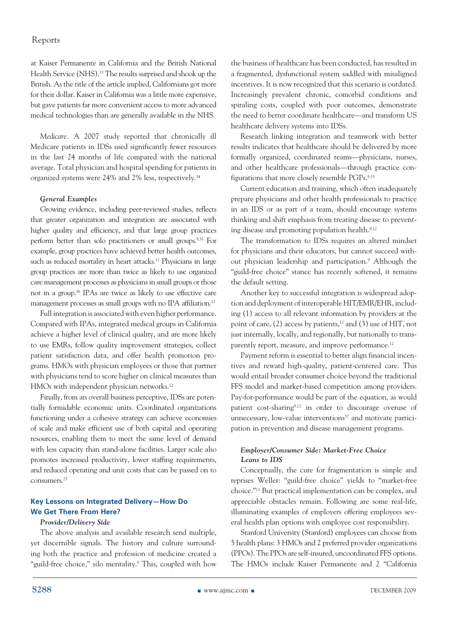at Kaiser Permanente in California and the British National Health Service (NHS).<sup>33</sup> The results surprised and shook up the British. As the title of the article implied, Californians got more for their dollar. Kaiser in California was a little more expensive, but gave patients far more convenient access to more advanced medical technologies than are generally available in the NHS.

*Medicare.* A 2007 study reported that chronically ill Medicare patients in IDSs used significantly fewer resources in the last 24 months of life compared with the national average. Total physician and hospital spending for patients in organized systems were 24% and 2% less, respectively.34

#### *General Examples*

Growing evidence, including peer-reviewed studies, reflects that greater organization and integration are associated with higher quality and efficiency, and that large group practices perform better than solo practitioners or small groups.9,35 For example, group practices have achieved better health outcomes, such as reduced mortality in heart attacks.<sup>12</sup> Physicians in large group practices are more than twice as likely to use organized care management processes as physicians in small groups or those not in a group.36 IPAs are twice as likely to use effective care management processes as small groups with no IPA affiliation.<sup>12</sup>

Full integration is associated with even higher performance. Compared with IPAs, integrated medical groups in California achieve a higher level of clinical quality, and are more likely to use EMRs, follow quality improvement strategies, collect patient satisfaction data, and offer health promotion programs. HMOs with physician employees or those that partner with physicians tend to score higher on clinical measures than HMOs with independent physician networks.<sup>12</sup>

Finally, from an overall business perceptive, IDSs are potentially formidable economic units. Coordinated organizations functioning under a cohesive strategy can achieve economies of scale and make efficient use of both capital and operating resources, enabling them to meet the same level of demand with less capacity than stand-alone facilities. Larger scale also promotes increased productivity, lower staffing requirements, and reduced operating and unit costs that can be passed on to consumers.25

#### **Key Lessons on Integrated Delivery—How Do We Get There From Here?**

#### *Provider/Delivery Side*

The above analysis and available research send multiple, yet discernible signals. The history and culture surrounding both the practice and profession of medicine created a "guild-free choice," silo mentality.<sup>9</sup> This, coupled with how the business of healthcare has been conducted, has resulted in a fragmented, dysfunctional system saddled with misaligned incentives. It is now recognized that this scenario is outdated. Increasingly prevalent chronic, comorbid conditions and spiraling costs, coupled with poor outcomes, demonstrate the need to better coordinate healthcare—and transform US healthcare delivery systems into IDSs.

Research linking integration and teamwork with better results indicates that healthcare should be delivered by more formally organized, coordinated teams—physicians, nurses, and other healthcare professionals—through practice configurations that more closely resemble PGPs.9,35

Current education and training, which often inadequately prepare physicians and other health professionals to practice in an IDS or as part of a team, should encourage systems thinking and shift emphasis from treating disease to preventing disease and promoting population health.<sup>9,12</sup>

The transformation to IDSs requires an altered mindset for physicians and their educators, but cannot succeed without physician leadership and participation.<sup>9</sup> Although the "guild-free choice" stance has recently softened, it remains the default setting.

Another key to successful integration is widespread adoption and deployment of interoperable HIT/EMR/EHR, including (1) access to all relevant information by providers at the point of care,  $(2)$  access by patients,<sup>12</sup> and  $(3)$  use of HIT, not just internally, locally, and regionally, but nationally to transparently report, measure, and improve performance.<sup>12</sup>

Payment reform is essential to better align financial incentives and reward high-quality, patient-centered care. This would entail broader consumer choice beyond the traditional FFS model and market-based competition among providers. Pay-for-performance would be part of the equation, as would patient cost-sharing9,12 in order to discourage overuse of unnecessary, low-value interventions<sup>37</sup> and motivate participation in prevention and disease management programs.

#### *Employer/Consumer Side: Market-Free Choice Leans to IDS*

Conceptually, the cure for fragmentation is simple and reprises Weller: "guild-free choice" yields to "market-free choice."13 But practical implementation can be complex, and appreciable obstacles remain. Following are some real-life, illuminating examples of employers offering employees several health plan options with employee cost responsibility.

Stanford University (Stanford) employees can choose from 5 health plans: 3 HMOs and 2 preferred provider organizations (PPOs). The PPOs are self-insured, uncoordinated FFS options. The HMOs include Kaiser Permanente and 2 "California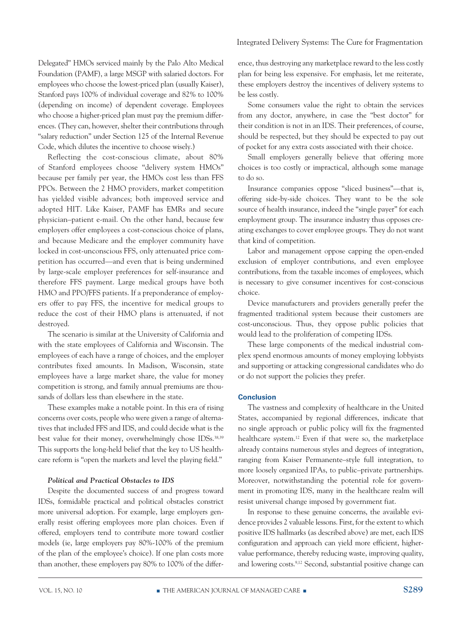Delegated" HMOs serviced mainly by the Palo Alto Medical Foundation (PAMF), a large MSGP with salaried doctors. For employees who choose the lowest-priced plan (usually Kaiser), Stanford pays 100% of individual coverage and 82% to 100% (depending on income) of dependent coverage. Employees who choose a higher-priced plan must pay the premium differences. (They can, however, shelter their contributions through "salary reduction" under Section 125 of the Internal Revenue Code, which dilutes the incentive to choose wisely.)

Reflecting the cost-conscious climate, about 80% of Stanford employees choose "delivery system HMOs" because per family per year, the HMOs cost less than FFS PPOs. Between the 2 HMO providers, market competition has yielded visible advances; both improved service and adopted HIT. Like Kaiser, PAMF has EMRs and secure physician–patient e-mail. On the other hand, because few employers offer employees a cost-conscious choice of plans, and because Medicare and the employer community have locked in cost-unconscious FFS, only attenuated price competition has occurred—and even that is being undermined by large-scale employer preferences for self-insurance and therefore FFS payment. Large medical groups have both HMO and PPO/FFS patients. If a preponderance of employers offer to pay FFS, the incentive for medical groups to reduce the cost of their HMO plans is attenuated, if not destroyed.

The scenario is similar at the University of California and with the state employees of California and Wisconsin. The employees of each have a range of choices, and the employer contributes fixed amounts. In Madison, Wisconsin, state employees have a large market share, the value for money competition is strong, and family annual premiums are thousands of dollars less than elsewhere in the state.

These examples make a notable point. In this era of rising concerns over costs, people who were given a range of alternatives that included FFS and IDS, and could decide what is the best value for their money, overwhelmingly chose IDSs.38,39 This supports the long-held belief that the key to US healthcare reform is "open the markets and level the playing field."

#### *Political and Practical Obstacles to IDS*

Despite the documented success of and progress toward IDSs, formidable practical and political obstacles constrict more universal adoption. For example, large employers generally resist offering employees more plan choices. Even if offered, employers tend to contribute more toward costlier models (ie, large employers pay 80%-100% of the premium of the plan of the employee's choice). If one plan costs more than another, these employers pay 80% to 100% of the differ-

ence, thus destroying any marketplace reward to the less costly plan for being less expensive. For emphasis, let me reiterate, these employers destroy the incentives of delivery systems to be less costly.

Some consumers value the right to obtain the services from any doctor, anywhere, in case the "best doctor" for their condition is not in an IDS. Their preferences, of course, should be respected, but they should be expected to pay out of pocket for any extra costs associated with their choice.

Small employers generally believe that offering more choices is too costly or impractical, although some manage to do so.

Insurance companies oppose "sliced business"—that is, offering side-by-side choices. They want to be the sole source of health insurance, indeed the "single payer" for each employment group. The insurance industry thus opposes creating exchanges to cover employee groups. They do not want that kind of competition.

Labor and management oppose capping the open-ended exclusion of employer contributions, and even employee contributions, from the taxable incomes of employees, which is necessary to give consumer incentives for cost-conscious choice.

Device manufacturers and providers generally prefer the fragmented traditional system because their customers are cost-unconscious. Thus, they oppose public policies that would lead to the proliferation of competing IDSs.

These large components of the medical industrial complex spend enormous amounts of money employing lobbyists and supporting or attacking congressional candidates who do or do not support the policies they prefer.

#### **Conclusion**

The vastness and complexity of healthcare in the United States, accompanied by regional differences, indicate that no single approach or public policy will fix the fragmented healthcare system.<sup>12</sup> Even if that were so, the marketplace already contains numerous styles and degrees of integration, ranging from Kaiser Permanente–style full integration, to more loosely organized IPAs, to public–private partnerships. Moreover, notwithstanding the potential role for government in promoting IDS, many in the healthcare realm will resist universal change imposed by government fiat.

In response to these genuine concerns, the available evidence provides 2 valuable lessons. First, for the extent to which positive IDS hallmarks (as described above) are met, each IDS configuration and approach can yield more efficient, highervalue performance, thereby reducing waste, improving quality, and lowering costs.9,12 Second, substantial positive change can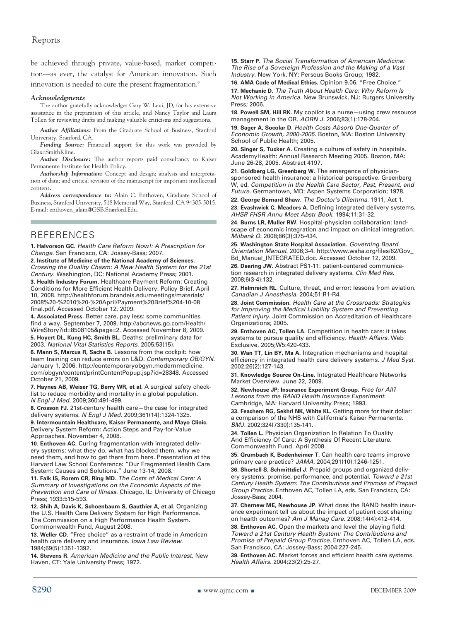be achieved through private, value-based, market competition—as ever, the catalyst for American innovation. Such innovation is needed to cure the present fragmentation.<sup>9</sup>

#### *Acknowledgments*

The author gratefully acknowledges Gary W. Levi, JD, for his extensive assistance in the preparation of this article, and Nancy Taylor and Laura Tollen for reviewing drafts and making valuable criticisms and suggestions.

*Author Affiliations:* From the Graduate School of Business, Stanford University, Stanford, CA.

*Funding Source:* Financial support for this work was provided by GlaxoSmithKline.

*Author Disclosure:* The author reports paid consultancy to Kaiser Permanente Institute for Health Policy.

*Authorship Information:* Concept and design; analysis and interpretation of data; and critical revision of the manuscript for important intellectual content*.*

*Address correspondence to:* Alain C. Enthoven, Graduate School of Business, Stanford University, 518 Memorial Way, Stanford, CA 94305-5015. E-mail: enthoven\_alain@GSB.Stanford.Edu.

#### References

**1. Halvorson GC.** *Health Care Reform Now!: A Prescription for Change.* San Francisco, CA: Jossey-Bass; 2007.

**2. Institute of Medicine of the National Academy of Sciences.** *Crossing the Quality Chasm: A New Health System for the 21st Century.* Washington, DC: National Academy Press; 2001.

**3. Health Industry Forum.** Healthcare Payment Reform: Creating Conditions for More Efficient Health Delivery. Policy Brief, April 10, 2008. http://healthforum.brandeis.edu/meetings/materials/ 2008%20-%2010%20-%20April/Payment%20Brief%204-10-08\_ final.pdf. Accessed October 12, 2009.

**4. Associated Press.** Better care, pay less: some communities find a way. September 7, 2009. http://abcnews.go.com/Health/ WireStory?id=8508105&page=2. Accessed November 8, 2009. **5. Hoyert DL, Kung HC, Smith BL.** Deaths: preliminary data for 2003. *National Vital Statistics Reports.* 2005;53(15).

**6. Mann S, Marcus R, Sachs B.** Lessons from the cockpit: how team training can reduce errors on L&D. *Contemporary OB/GYN.* January 1, 2006. http://contemporaryobgyn.modernmedicine. com/obgyn/content/printContentPopup.jsp?id=28348. Accessed October 21, 2009.

**7. Haynes AB, Weiser TG, Berry WR, et al.** A surgical safety checklist to reduce morbidity and mortality in a global population. *N Engl J Med.* 2009;360:491-499.

**8. Crosson FJ.** 21st-century health care—the case for integrated delivery systems. *N Engl J Med.* 2009;361(14):1324-1325.

**9. Intermountain Healthcare, Kaiser Permanente, and Mayo Clinic.** Delivery System Reform: Action Steps and Pay-for-Value Approaches. November 4, 2008.

**10. Enthoven AC.** Curing fragmentation with integrated delivery systems: what they do, what has blocked them, why we need them, and how to get there from here. Presentation at the Harvard Law School Conference: "Our Fragmented Health Care System: Causes and Solutions." June 13-14, 2008.

**11. Falk IS, Rorem CR, Ring MD.** *The Costs of Medical Care: A Summary of Investigations on the Economic Aspects of the Prevention and Care of Illness.* Chicago, IL: University of Chicago Press; 1933:515-593.

**12. Shih A, Davis K, Schoenbaum S, Gauthier A, et al.** Organizing the U.S. Health Care Delivery System for High Performance. The Commission on a High Performance Health System. Commonwealth Fund, August 2008.

**13. Weller CD.** "Free choice" as a restraint of trade in American health care delivery and insurance. *Iowa Law Review.*  1984;69(5):1351-1392.

**14. Stevens R.** *American Medicine and the Public Interest.* New Haven, CT: Yale University Press; 1972.

**15. Starr P.** *The Social Transformation of American Medicine: The Rise of a Sovereign Profession and the Making of a Vast Industry.* New York, NY: Perseus Books Group; 1982.

**16. AMA Code of Medical Ethics.** Opinion 9.06. "Free Choice." **17. Mechanic D.** *The Truth About Health Care: Why Reform Is Not Working in America.* New Brunswick, NJ: Rutgers University Press; 2006.

**18. Powell SM, Hill RK.** My copilot is a nurse—using crew resource management in the OR. *AORN J.* 2006;83(1):178-204.

**19. Sager A, Socolar D.** *Health Costs Absorb One-Quarter of Economic Growth, 2000-2005.* Boston, MA: Boston University School of Public Health; 2005.

**20. Singer S, Tucker A.** Creating a culture of safety in hospitals. AcademyHealth: Annual Research Meeting 2005. Boston, MA: June 26-28, 2005. Abstract 4197.

**21. Goldberg LG, Greenberg W.** The emergence of physiciansponsored health insurance: a historical perspective. Greenberg W, ed. *Competition in the Health Care Sector, Past, Present, and Future.* Germantown, MD: Aspen Systems Corporation; 1978.

**22. George Bernard Shaw.** *The Doctor's Dilemma.* 1911, Act 1. **23. Evashwick C, Meadors A.** Defining integrated delivery systems. *AHSR FHSR Annu Meet Abstr Book.* 1994;11:31-32.

**24. Burns LR, Muller RW.** Hospital-physician collaboration: landscape of economic integration and impact on clinical integration. *Milbank Q.* 2008;86(3):375-434.

**25. Washington State Hospital Association.** *Governing Board Orientation Manual.* 2006;3-4. http://www.wsha.org/files/62/Gov\_ Bd\_Manual\_INTEGRATED.doc. Accessed October 12, 2009.

**26. Dearing JW.** Abstract PS1-11: patient-centered communication research in integrated delivery systems. *Clin Med Res.* 2008;6(3-4):132.

**27. Helmreich RL.** Culture, threat, and error: lessons from aviation. *Canadian J Anesthesia.* 2004;51:R1-R4.

**28. Joint Commission.** *Health Care at the Crossroads: Strategies for Improving the Medical Liability System and Preventing Patient Injury.* Joint Commission on Accreditation of Healthcare Organizations; 2005.

**29. Enthoven AC, Tollen LA.** Competition in health care: it takes systems to pursue quality and efficiency. *Health Affairs.* Web Exclusive. 2005;W5:420-433.

**30. Wan TT, Lin BY, Ma A.** Integration mechanisms and hospital efficiency in integrated health care delivery systems. *J Med Syst.*  2002;26(2):127-143.

**31. Knowledge Source On-Line.** Integrated Healthcare Networks Market Overview. June 22, 2009.

**32. Newhouse JP; Insurance Experiment Group.** *Free for All? Lessons from the RAND Health Insurance Experiment.* Cambridge, MA: Harvard University Press; 1993.

**33. Feachem RG, Sekhri NK, White KL.** Getting more for their dollar: a comparison of the NHS with California's Kaiser Permanente. *BMJ.* 2002;324(7330):135-141.

**34. Tollen L.** Physician Organization In Relation To Quality And Efficiency Of Care: A Synthesis Of Recent Literature. Commonwealth Fund. April 2008.

**35. Grumbach K, Bodenheimer T.** Can health care teams improve primary care practice? *JAMA.* 2004;291(10):1246-1251.

**36. Shortell S, Schmittdiel J.** Prepaid groups and organized delivery systems: promise, performance, and potential. *Toward a 21st Century Health System: The Contributions and Promise of Prepaid Group Practice.* Enthoven AC, Tollen LA, eds. San Francisco, CA: Jossey-Bass; 2004.

**37. Chernew ME, Newhouse JP.** What does the RAND health insurance experiment tell us about the impact of patient cost sharing on health outcomes? *Am J Manag Care.* 2008;14(4):412-414.

**38. Enthoven AC.** Open the markets and level the playing field. *Toward a 21st Century Health System: The Contributions and Promise of Prepaid Group Practice.* Enthoven AC, Tollen LA, eds. San Francisco, CA: Jossey-Bass; 2004:227-245.

**39. Enthoven AC.** Market forces and efficient health care systems. *Health Affairs.* 2004;23(2):25-27.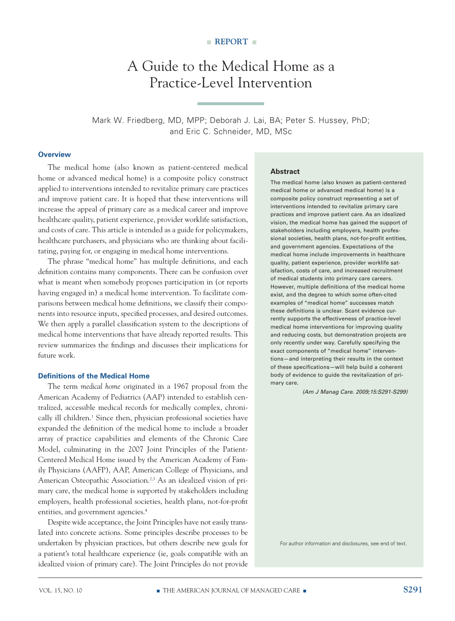## A Guide to the Medical Home as a Practice-Level Intervention

Mark W. Friedberg, MD, MPP; Deborah J. Lai, BA; Peter S. Hussey, PhD; and Eric C. Schneider, MD, MSc

#### **Overview**

The medical home (also known as patient-centered medical home or advanced medical home) is a composite policy construct applied to interventions intended to revitalize primary care practices and improve patient care. It is hoped that these interventions will increase the appeal of primary care as a medical career and improve healthcare quality, patient experience, provider worklife satisfaction, and costs of care. This article is intended as a guide for policymakers, healthcare purchasers, and physicians who are thinking about facilitating, paying for, or engaging in medical home interventions.

The phrase "medical home" has multiple definitions, and each definition contains many components. There can be confusion over what is meant when somebody proposes participation in (or reports having engaged in) a medical home intervention. To facilitate comparisons between medical home definitions, we classify their components into resource inputs, specified processes, and desired outcomes. We then apply a parallel classification system to the descriptions of medical home interventions that have already reported results. This review summarizes the findings and discusses their implications for future work.

#### **Definitions of the Medical Home**

The term *medical home* originated in a 1967 proposal from the American Academy of Pediatrics (AAP) intended to establish centralized, accessible medical records for medically complex, chronically ill children.<sup>1</sup> Since then, physician professional societies have expanded the definition of the medical home to include a broader array of practice capabilities and elements of the Chronic Care Model, culminating in the 2007 Joint Principles of the Patient-Centered Medical Home issued by the American Academy of Family Physicians (AAFP), AAP, American College of Physicians, and American Osteopathic Association.<sup>2,3</sup> As an idealized vision of primary care, the medical home is supported by stakeholders including employers, health professional societies, health plans, not-for-profit entities, and government agencies.4

Despite wide acceptance, the Joint Principles have not easily translated into concrete actions. Some principles describe processes to be undertaken by physician practices, but others describe new goals for a patient's total healthcare experience (ie, goals compatible with an idealized vision of primary care). The Joint Principles do not provide

#### **Abstract**

The medical home (also known as patient-centered medical home or advanced medical home) is a composite policy construct representing a set of interventions intended to revitalize primary care practices and improve patient care. As an idealized vision, the medical home has gained the support of stakeholders including employers, health professional societies, health plans, not-for-profit entities, and government agencies. Expectations of the medical home include improvements in healthcare quality, patient experience, provider worklife satisfaction, costs of care, and increased recruitment of medical students into primary care careers. However, multiple definitions of the medical home exist, and the degree to which some often-cited examples of "medical home" successes match these definitions is unclear. Scant evidence currently supports the effectiveness of practice-level medical home interventions for improving quality and reducing costs, but demonstration projects are only recently under way. Carefully specifying the exact components of "medical home" interventions—and interpreting their results in the context of these specifications—will help build a coherent body of evidence to guide the revitalization of primary care.

 *(Am J Manag Care. 2009;15:S291-S299)*

For author information and disclosures, see end of text.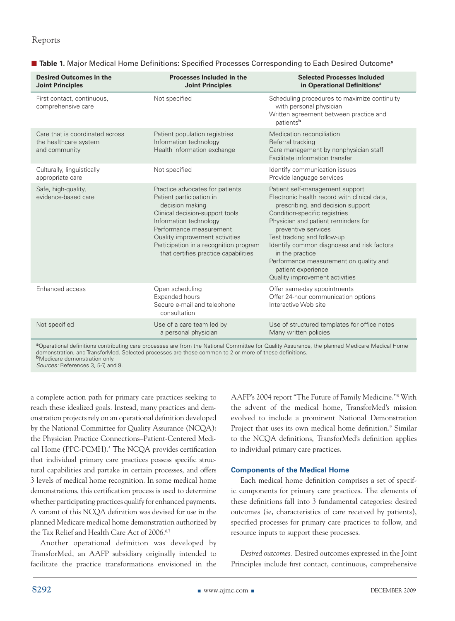| <b>Desired Outcomes in the</b><br><b>Joint Principles</b>                 | Processes Included in the<br><b>Joint Principles</b>                                                                                                                                                                                                                                       | <b>Selected Processes Included</b><br>in Operational Definitions <sup>a</sup>                                                                                                                                                                                                                                                                                                                                         |
|---------------------------------------------------------------------------|--------------------------------------------------------------------------------------------------------------------------------------------------------------------------------------------------------------------------------------------------------------------------------------------|-----------------------------------------------------------------------------------------------------------------------------------------------------------------------------------------------------------------------------------------------------------------------------------------------------------------------------------------------------------------------------------------------------------------------|
| First contact, continuous,<br>comprehensive care                          | Not specified                                                                                                                                                                                                                                                                              | Scheduling procedures to maximize continuity<br>with personal physician<br>Written agreement between practice and<br>patientsb                                                                                                                                                                                                                                                                                        |
| Care that is coordinated across<br>the healthcare system<br>and community | Patient population registries<br>Information technology<br>Health information exchange                                                                                                                                                                                                     | Medication reconciliation<br>Referral tracking<br>Care management by nonphysician staff<br>Facilitate information transfer                                                                                                                                                                                                                                                                                            |
| Culturally, linguistically<br>appropriate care                            | Not specified                                                                                                                                                                                                                                                                              | Identify communication issues<br>Provide language services                                                                                                                                                                                                                                                                                                                                                            |
| Safe, high-quality,<br>evidence-based care                                | Practice advocates for patients<br>Patient participation in<br>decision making<br>Clinical decision-support tools<br>Information technology<br>Performance measurement<br>Quality improvement activities<br>Participation in a recognition program<br>that certifies practice capabilities | Patient self-management support<br>Electronic health record with clinical data,<br>prescribing, and decision support<br>Condition-specific registries<br>Physician and patient reminders for<br>preventive services<br>Test tracking and follow-up<br>Identify common diagnoses and risk factors<br>in the practice<br>Performance measurement on quality and<br>patient experience<br>Quality improvement activities |
| Enhanced access                                                           | Open scheduling<br>Expanded hours<br>Secure e-mail and telephone<br>consultation                                                                                                                                                                                                           | Offer same-day appointments<br>Offer 24-hour communication options<br>Interactive Web site                                                                                                                                                                                                                                                                                                                            |
| Not specified                                                             | Use of a care team led by<br>a personal physician                                                                                                                                                                                                                                          | Use of structured templates for office notes<br>Many written policies                                                                                                                                                                                                                                                                                                                                                 |

■ **Table 1.** Major Medical Home Definitions: Specified Processes Corresponding to Each Desired Outcome<sup>a</sup>

**<sup>a</sup>**Operational definitions contributing care processes are from the National Committee for Quality Assurance, the planned Medicare Medical Home demonstration, and TransforMed. Selected processes are those common to 2 or more of these definitions. **b**Medicare demonstration only.

*Sources:* References 3, 5-7, and 9.

a complete action path for primary care practices seeking to reach these idealized goals. Instead, many practices and demonstration projects rely on an operational definition developed by the National Committee for Quality Assurance (NCQA): the Physician Practice Connections–Patient-Centered Medical Home (PPC-PCMH).<sup>5</sup> The NCQA provides certification that individual primary care practices possess specific structural capabilities and partake in certain processes, and offers 3 levels of medical home recognition. In some medical home demonstrations, this certification process is used to determine whether participating practices qualify for enhanced payments. A variant of this NCQA definition was devised for use in the planned Medicare medical home demonstration authorized by the Tax Relief and Health Care Act of 2006.<sup>6,7</sup>

Another operational definition was developed by TransforMed, an AAFP subsidiary originally intended to facilitate the practice transformations envisioned in the

AAFP's 2004 report "The Future of Family Medicine."8 With the advent of the medical home, TransforMed's mission evolved to include a prominent National Demonstration Project that uses its own medical home definition.<sup>9</sup> Similar to the NCQA definitions, TransforMed's definition applies to individual primary care practices.

#### **Components of the Medical Home**

Each medical home definition comprises a set of specific components for primary care practices. The elements of these definitions fall into 3 fundamental categories: desired outcomes (ie, characteristics of care received by patients), specified processes for primary care practices to follow, and resource inputs to support these processes.

*Desired outcomes.* Desired outcomes expressed in the Joint Principles include first contact, continuous, comprehensive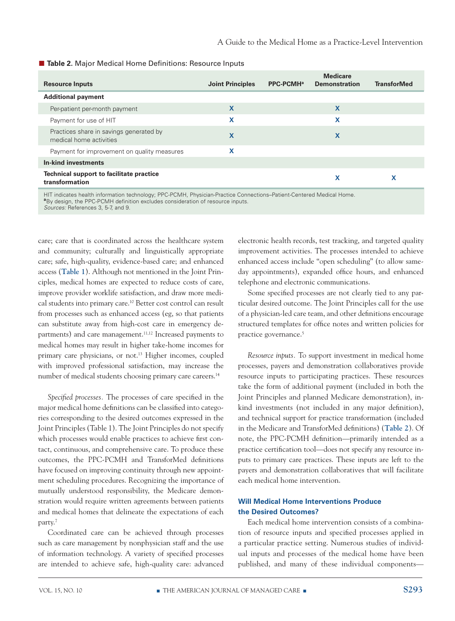| Table 2. Major Medical Home Definitions: Resource Inputs |
|----------------------------------------------------------|
|                                                          |

| <b>Resource Inputs</b>                                             | <b>Joint Principles</b> | PPC-PCMH <sup>a</sup> | <b>Medicare</b><br><b>Demonstration</b> | <b>TransforMed</b> |
|--------------------------------------------------------------------|-------------------------|-----------------------|-----------------------------------------|--------------------|
| <b>Additional payment</b>                                          |                         |                       |                                         |                    |
| Per-patient per-month payment                                      | X                       |                       | $\mathbf x$                             |                    |
| Payment for use of HIT                                             | x                       |                       | x                                       |                    |
| Practices share in savings generated by<br>medical home activities | X                       |                       | X                                       |                    |
| Payment for improvement on quality measures                        | x                       |                       |                                         |                    |
| In-kind investments                                                |                         |                       |                                         |                    |
| Technical support to facilitate practice<br>transformation         |                         |                       | X                                       |                    |

HIT indicates health information technology; PPC-PCMH, Physician-Practice Connections–Patient-Centered Medical Home. **a**By design, the PPC-PCMH definition excludes consideration of resource inputs.

*Sources:* References 3, 5-7, and 9.

care; care that is coordinated across the healthcare system and community; culturally and linguistically appropriate care; safe, high-quality, evidence-based care; and enhanced access (**Table 1**). Although not mentioned in the Joint Principles, medical homes are expected to reduce costs of care, improve provider worklife satisfaction, and draw more medical students into primary care.10 Better cost control can result from processes such as enhanced access (eg, so that patients can substitute away from high-cost care in emergency departments) and care management.<sup>11,12</sup> Increased payments to medical homes may result in higher take-home incomes for primary care physicians, or not.<sup>13</sup> Higher incomes, coupled with improved professional satisfaction, may increase the number of medical students choosing primary care careers.<sup>14</sup>

*Specified processes.* The processes of care specified in the major medical home definitions can be classified into categories corresponding to the desired outcomes expressed in the Joint Principles (Table 1). The Joint Principles do not specify which processes would enable practices to achieve first contact, continuous, and comprehensive care. To produce these outcomes, the PPC-PCMH and TransforMed definitions have focused on improving continuity through new appointment scheduling procedures. Recognizing the importance of mutually understood responsibility, the Medicare demonstration would require written agreements between patients and medical homes that delineate the expectations of each party.7

Coordinated care can be achieved through processes such as care management by nonphysician staff and the use of information technology. A variety of specified processes are intended to achieve safe, high-quality care: advanced electronic health records, test tracking, and targeted quality improvement activities. The processes intended to achieve enhanced access include "open scheduling" (to allow sameday appointments), expanded office hours, and enhanced telephone and electronic communications.

Some specified processes are not clearly tied to any particular desired outcome. The Joint Principles call for the use of a physician-led care team, and other definitions encourage structured templates for office notes and written policies for practice governance.<sup>5</sup>

*Resource inputs.* To support investment in medical home processes, payers and demonstration collaboratives provide resource inputs to participating practices. These resources take the form of additional payment (included in both the Joint Principles and planned Medicare demonstration), inkind investments (not included in any major definition), and technical support for practice transformation (included in the Medicare and TransforMed definitions) (**Table 2**). Of note, the PPC-PCMH definition—primarily intended as a practice certification tool—does not specify any resource inputs to primary care practices. These inputs are left to the payers and demonstration collaboratives that will facilitate each medical home intervention.

#### **Will Medical Home Interventions Produce the Desired Outcomes?**

Each medical home intervention consists of a combination of resource inputs and specified processes applied in a particular practice setting. Numerous studies of individual inputs and processes of the medical home have been published, and many of these individual components—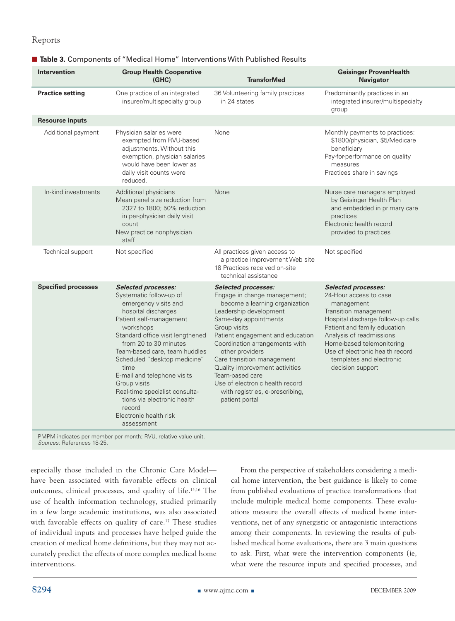| <b>Intervention</b>        | <b>Group Health Cooperative</b><br>(GHC)                                                                                                                                                                                                                                                                                                                                                                                                             | <b>TransforMed</b>                                                                                                                                                                                                                                                                                                                                                                                                                  | <b>Geisinger ProvenHealth</b><br><b>Navigator</b>                                                                                                                                                                                                                                                             |
|----------------------------|------------------------------------------------------------------------------------------------------------------------------------------------------------------------------------------------------------------------------------------------------------------------------------------------------------------------------------------------------------------------------------------------------------------------------------------------------|-------------------------------------------------------------------------------------------------------------------------------------------------------------------------------------------------------------------------------------------------------------------------------------------------------------------------------------------------------------------------------------------------------------------------------------|---------------------------------------------------------------------------------------------------------------------------------------------------------------------------------------------------------------------------------------------------------------------------------------------------------------|
| <b>Practice setting</b>    | One practice of an integrated<br>insurer/multispecialty group                                                                                                                                                                                                                                                                                                                                                                                        | 36 Volunteering family practices<br>in 24 states                                                                                                                                                                                                                                                                                                                                                                                    | Predominantly practices in an<br>integrated insurer/multispecialty<br>group                                                                                                                                                                                                                                   |
| <b>Resource inputs</b>     |                                                                                                                                                                                                                                                                                                                                                                                                                                                      |                                                                                                                                                                                                                                                                                                                                                                                                                                     |                                                                                                                                                                                                                                                                                                               |
| Additional payment         | Physician salaries were<br>exempted from RVU-based<br>adjustments. Without this<br>exemption, physician salaries<br>would have been lower as<br>daily visit counts were<br>reduced.                                                                                                                                                                                                                                                                  | None                                                                                                                                                                                                                                                                                                                                                                                                                                | Monthly payments to practices:<br>\$1800/physician, \$5/Medicare<br>beneficiary<br>Pay-for-performance on quality<br>measures<br>Practices share in savings                                                                                                                                                   |
| In-kind investments        | Additional physicians<br>Mean panel size reduction from<br>2327 to 1800; 50% reduction<br>in per-physician daily visit<br>count<br>New practice nonphysician<br>staff                                                                                                                                                                                                                                                                                | None                                                                                                                                                                                                                                                                                                                                                                                                                                | Nurse care managers employed<br>by Geisinger Health Plan<br>and embedded in primary care<br>practices<br>Electronic health record<br>provided to practices                                                                                                                                                    |
| Technical support          | Not specified                                                                                                                                                                                                                                                                                                                                                                                                                                        | All practices given access to<br>a practice improvement Web site<br>18 Practices received on-site<br>technical assistance                                                                                                                                                                                                                                                                                                           | Not specified                                                                                                                                                                                                                                                                                                 |
| <b>Specified processes</b> | <b>Selected processes:</b><br>Systematic follow-up of<br>emergency visits and<br>hospital discharges<br>Patient self-management<br>workshops<br>Standard office visit lengthened<br>from 20 to 30 minutes<br>Team-based care, team huddles<br>Scheduled "desktop medicine"<br>time<br>E-mail and telephone visits<br>Group visits<br>Real-time specialist consulta-<br>tions via electronic health<br>record<br>Electronic health risk<br>assessment | <b>Selected processes:</b><br>Engage in change management;<br>become a learning organization<br>Leadership development<br>Same-day appointments<br>Group visits<br>Patient engagement and education<br>Coordination arrangements with<br>other providers<br>Care transition management<br>Quality improvement activities<br>Team-based care<br>Use of electronic health record<br>with registries, e-prescribing,<br>patient portal | <b>Selected processes:</b><br>24-Hour access to case<br>management<br>Transition management<br>Hospital discharge follow-up calls<br>Patient and family education<br>Analysis of readmissions<br>Home-based telemonitoring<br>Use of electronic health record<br>templates and electronic<br>decision support |

#### ■ Table 3. Components of "Medical Home" Interventions With Published Results

PMPM indicates per member per month; RVU, relative value unit. *Sources:* References 18-25.

especially those included in the Chronic Care Model have been associated with favorable effects on clinical outcomes, clinical processes, and quality of life.15,16 The use of health information technology, studied primarily in a few large academic institutions, was also associated with favorable effects on quality of care.<sup>17</sup> These studies of individual inputs and processes have helped guide the creation of medical home definitions, but they may not accurately predict the effects of more complex medical home interventions.

From the perspective of stakeholders considering a medical home intervention, the best guidance is likely to come from published evaluations of practice transformations that include multiple medical home components. These evaluations measure the overall effects of medical home interventions, net of any synergistic or antagonistic interactions among their components. In reviewing the results of published medical home evaluations, there are 3 main questions to ask. First, what were the intervention components (ie, what were the resource inputs and specified processes, and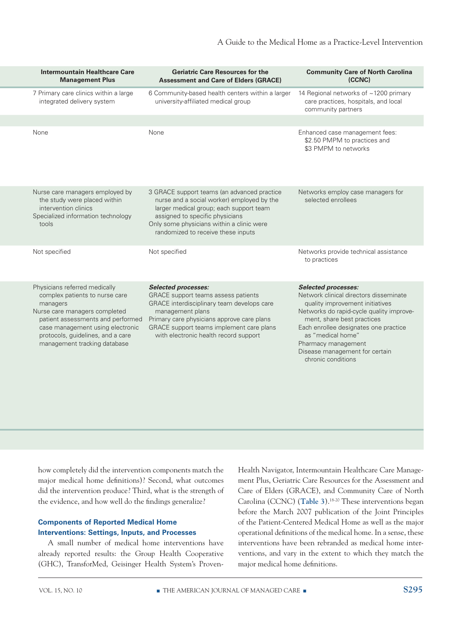| Intermountain Healthcare Care<br><b>Management Plus</b>                                                                                                                                                                                                    | <b>Geriatric Care Resources for the</b><br><b>Assessment and Care of Elders (GRACE)</b>                                                                                                                                                                                | <b>Community Care of North Carolina</b><br>(CCNC)                                                                                                                                                                                                                                                                              |
|------------------------------------------------------------------------------------------------------------------------------------------------------------------------------------------------------------------------------------------------------------|------------------------------------------------------------------------------------------------------------------------------------------------------------------------------------------------------------------------------------------------------------------------|--------------------------------------------------------------------------------------------------------------------------------------------------------------------------------------------------------------------------------------------------------------------------------------------------------------------------------|
| 7 Primary care clinics within a large<br>integrated delivery system                                                                                                                                                                                        | 6 Community-based health centers within a larger<br>university-affiliated medical group                                                                                                                                                                                | 14 Regional networks of ~1200 primary<br>care practices, hospitals, and local<br>community partners                                                                                                                                                                                                                            |
|                                                                                                                                                                                                                                                            |                                                                                                                                                                                                                                                                        |                                                                                                                                                                                                                                                                                                                                |
| None                                                                                                                                                                                                                                                       | None                                                                                                                                                                                                                                                                   | Enhanced case management fees:<br>\$2.50 PMPM to practices and<br>\$3 PMPM to networks                                                                                                                                                                                                                                         |
| Nurse care managers employed by<br>the study were placed within<br>intervention clinics<br>Specialized information technology<br>tools                                                                                                                     | 3 GRACE support teams (an advanced practice<br>nurse and a social worker) employed by the<br>larger medical group; each support team<br>assigned to specific physicians<br>Only some physicians within a clinic were<br>randomized to receive these inputs             | Networks employ case managers for<br>selected enrollees                                                                                                                                                                                                                                                                        |
| Not specified                                                                                                                                                                                                                                              | Not specified                                                                                                                                                                                                                                                          | Networks provide technical assistance<br>to practices                                                                                                                                                                                                                                                                          |
| Physicians referred medically<br>complex patients to nurse care<br>managers<br>Nurse care managers completed<br>patient assessments and performed<br>case management using electronic<br>protocols, guidelines, and a care<br>management tracking database | <b>Selected processes:</b><br>GRACE support teams assess patients<br>GRACE interdisciplinary team develops care<br>management plans<br>Primary care physicians approve care plans<br>GRACE support teams implement care plans<br>with electronic health record support | <b>Selected processes:</b><br>Network clinical directors disseminate<br>quality improvement initiatives<br>Networks do rapid-cycle quality improve-<br>ment, share best practices<br>Each enrollee designates one practice<br>as "medical home"<br>Pharmacy management<br>Disease management for certain<br>chronic conditions |

how completely did the intervention components match the major medical home definitions)? Second, what outcomes did the intervention produce? Third, what is the strength of the evidence, and how well do the findings generalize?

#### **Components of Reported Medical Home Interventions: Settings, Inputs, and Processes**

A small number of medical home interventions have already reported results: the Group Health Cooperative (GHC), TransforMed, Geisinger Health System's ProvenHealth Navigator, Intermountain Healthcare Care Management Plus, Geriatric Care Resources for the Assessment and Care of Elders (GRACE), and Community Care of North Carolina (CCNC) (**Table 3**).18-20 These interventions began before the March 2007 publication of the Joint Principles of the Patient-Centered Medical Home as well as the major operational definitions of the medical home. In a sense, these interventions have been rebranded as medical home interventions, and vary in the extent to which they match the major medical home definitions.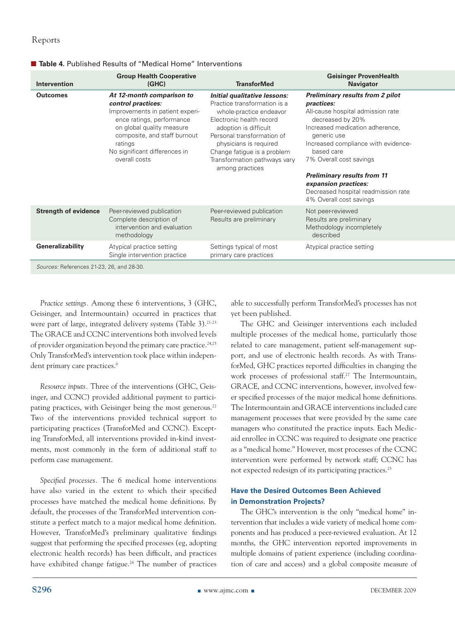| Intervention                              | <b>Group Health Cooperative</b><br>(GHC)                                                                                                                                                                                                  | <b>TransforMed</b>                                                                                                                                                                                                                                                                     | <b>Geisinger ProvenHealth</b><br><b>Navigator</b>                                                                                                                                                                                                                                                                                                                                       |
|-------------------------------------------|-------------------------------------------------------------------------------------------------------------------------------------------------------------------------------------------------------------------------------------------|----------------------------------------------------------------------------------------------------------------------------------------------------------------------------------------------------------------------------------------------------------------------------------------|-----------------------------------------------------------------------------------------------------------------------------------------------------------------------------------------------------------------------------------------------------------------------------------------------------------------------------------------------------------------------------------------|
| <b>Outcomes</b>                           | At 12-month comparison to<br>control practices:<br>Improvements in patient experi-<br>ence ratings, performance<br>on global quality measure<br>composite, and staff burnout<br>ratings<br>No significant differences in<br>overall costs | Initial qualitative lessons:<br>Practice transformation is a<br>whole-practice endeavor<br>Electronic health record<br>adoption is difficult<br>Personal transformation of<br>physicians is required<br>Change fatigue is a problem<br>Transformation pathways vary<br>among practices | <b>Preliminary results from 2 pilot</b><br><i>practices:</i><br>All-cause hospital admission rate<br>decreased by 20%<br>Increased medication adherence,<br>generic use<br>Increased compliance with evidence-<br>based care<br>7% Overall cost savings<br><b>Preliminary results from 11</b><br>expansion practices:<br>Decreased hospital readmission rate<br>4% Overall cost savings |
| <b>Strength of evidence</b>               | Peer-reviewed publication<br>Complete description of<br>intervention and evaluation<br>methodology                                                                                                                                        | Peer-reviewed publication<br>Results are preliminary                                                                                                                                                                                                                                   | Not peer-reviewed<br>Results are preliminary<br>Methodology incompletely<br>described                                                                                                                                                                                                                                                                                                   |
| Generalizability                          | Atypical practice setting<br>Single intervention practice                                                                                                                                                                                 | Settings typical of most<br>primary care practices                                                                                                                                                                                                                                     | Atypical practice setting                                                                                                                                                                                                                                                                                                                                                               |
| Sources: References 21-23, 26, and 28-30. |                                                                                                                                                                                                                                           |                                                                                                                                                                                                                                                                                        |                                                                                                                                                                                                                                                                                                                                                                                         |

#### ■ **Table 4.** Published Results of "Medical Home" Interventions

*Practice settings.* Among these 6 interventions, 3 (GHC, Geisinger, and Intermountain) occurred in practices that were part of large, integrated delivery systems (Table 3).<sup>21-23</sup> The GRACE and CCNC interventions both involved levels of provider organization beyond the primary care practice.<sup>24,25</sup> Only TransforMed's intervention took place within independent primary care practices.<sup>9</sup>

*Resource inputs.* Three of the interventions (GHC, Geisinger, and CCNC) provided additional payment to participating practices, with Geisinger being the most generous.<sup>22</sup> Two of the interventions provided technical support to participating practices (TransforMed and CCNC). Excepting TransforMed, all interventions provided in-kind investments, most commonly in the form of additional staff to perform case management.

*Specified processes.* The 6 medical home interventions have also varied in the extent to which their specified processes have matched the medical home definitions. By default, the processes of the TransforMed intervention constitute a perfect match to a major medical home definition. However, TransforMed's preliminary qualitative findings suggest that performing the specified processes (eg, adopting electronic health records) has been difficult, and practices have exhibited change fatigue.<sup>26</sup> The number of practices able to successfully perform TransforMed's processes has not yet been published.

The GHC and Geisinger interventions each included multiple processes of the medical home, particularly those related to care management, patient self-management support, and use of electronic health records. As with TransforMed, GHC practices reported difficulties in changing the work processes of professional staff.<sup>27</sup> The Intermountain, GRACE, and CCNC interventions, however, involved fewer specified processes of the major medical home definitions. The Intermountain and GRACE interventions included care management processes that were provided by the same care managers who constituted the practice inputs. Each Medicaid enrollee in CCNC was required to designate one practice as a "medical home." However, most processes of the CCNC intervention were performed by network staff; CCNC has not expected redesign of its participating practices.25

#### **Have the Desired Outcomes Been Achieved in Demonstration Projects?**

The GHC's intervention is the only "medical home" intervention that includes a wide variety of medical home components and has produced a peer-reviewed evaluation. At 12 months, the GHC intervention reported improvements in multiple domains of patient experience (including coordination of care and access) and a global composite measure of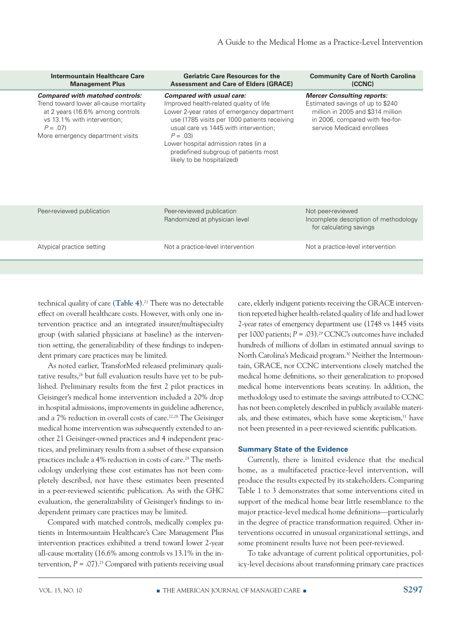| Intermountain Healthcare Care<br><b>Management Plus</b>                                                                                                                                              | <b>Geriatric Care Resources for the</b><br><b>Assessment and Care of Elders (GRACE)</b>                                                                                                                                                                                                                                                       | <b>Community Care of North Carolina</b><br>(CCNC)                                                                                                                           |
|------------------------------------------------------------------------------------------------------------------------------------------------------------------------------------------------------|-----------------------------------------------------------------------------------------------------------------------------------------------------------------------------------------------------------------------------------------------------------------------------------------------------------------------------------------------|-----------------------------------------------------------------------------------------------------------------------------------------------------------------------------|
| <b>Compared with matched controls:</b><br>Trend toward lower all-cause mortality<br>at 2 years (16.6% among controls<br>vs 13.1% with intervention;<br>$P = .07$<br>More emergency department visits | <b>Compared with usual care:</b><br>Improved health-related quality of life<br>Lower 2-year rates of emergency department<br>use (1785 visits per 1000 patients receiving<br>usual care vs 1445 with intervention;<br>$P = .03$<br>Lower hospital admission rates (in a<br>predefined subgroup of patients most<br>likely to be hospitalized) | <b>Mercer Consulting reports:</b><br>Estimated savings of up to \$240<br>million in 2005 and \$314 million<br>in 2006, compared with fee-for-<br>service Medicaid enrollees |
| Peer-reviewed publication                                                                                                                                                                            | Peer-reviewed publication<br>Randomized at physician level                                                                                                                                                                                                                                                                                    | Not peer-reviewed<br>Incomplete description of methodology<br>for calculating savings                                                                                       |
| Atypical practice setting                                                                                                                                                                            | Not a practice-level intervention                                                                                                                                                                                                                                                                                                             | Not a practice-level intervention                                                                                                                                           |
|                                                                                                                                                                                                      |                                                                                                                                                                                                                                                                                                                                               |                                                                                                                                                                             |

technical quality of care (Table 4).<sup>21</sup> There was no detectable effect on overall healthcare costs. However, with only one intervention practice and an integrated insurer/multispecialty group (with salaried physicians at baseline) as the intervention setting, the generalizability of these findings to independent primary care practices may be limited.

As noted earlier, TransforMed released preliminary qualitative results,<sup>26</sup> but full evaluation results have yet to be published. Preliminary results from the first 2 pilot practices in Geisinger's medical home intervention included a 20% drop in hospital admissions, improvements in guideline adherence, and a 7% reduction in overall costs of care.<sup>22,28</sup> The Geisinger medical home intervention was subsequently extended to another 21 Geisinger-owned practices and 4 independent practices, and preliminary results from a subset of these expansion practices include a 4% reduction in costs of care.<sup>28</sup> The methodology underlying these cost estimates has not been completely described, nor have these estimates been presented in a peer-reviewed scientific publication. As with the GHC evaluation, the generalizability of Geisinger's findings to independent primary care practices may be limited.

Compared with matched controls, medically complex patients in Intermountain Healthcare's Care Management Plus intervention practices exhibited a trend toward lower 2-year all-cause mortality (16.6% among controls vs 13.1% in the intervention,  $P = .07$ ).<sup>23</sup> Compared with patients receiving usual

care, elderly indigent patients receiving the GRACE intervention reported higher health-related quality of life and had lower 2-year rates of emergency department use (1748 vs 1445 visits per 1000 patients;  $P = .03$ ).<sup>29</sup> CCNC's outcomes have included hundreds of millions of dollars in estimated annual savings to North Carolina's Medicaid program.<sup>30</sup> Neither the Intermountain, GRACE, nor CCNC interventions closely matched the medical home definitions, so their generalization to proposed medical home interventions bears scrutiny. In addition, the methodology used to estimate the savings attributed to CCNC has not been completely described in publicly available materials, and these estimates, which have some skepticism,<sup>31</sup> have not been presented in a peer-reviewed scientific publication.

#### **Summary State of the Evidence**

Currently, there is limited evidence that the medical home, as a multifaceted practice-level intervention, will produce the results expected by its stakeholders. Comparing Table 1 to 3 demonstrates that some interventions cited in support of the medical home bear little resemblance to the major practice-level medical home definitions—particularly in the degree of practice transformation required. Other interventions occurred in unusual organizational settings, and some prominent results have not been peer-reviewed.

To take advantage of current political opportunities, policy-level decisions about transforming primary care practices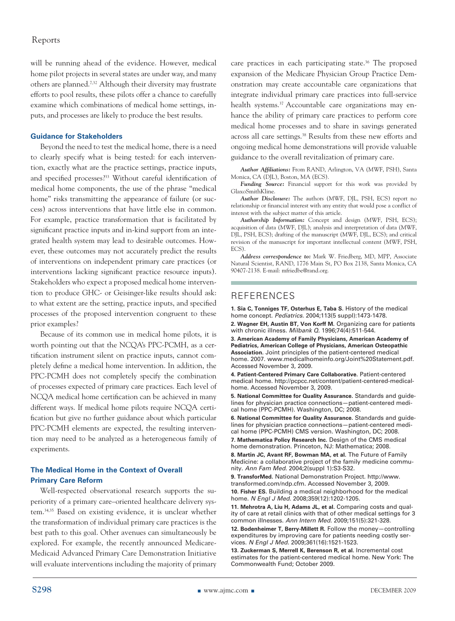will be running ahead of the evidence. However, medical home pilot projects in several states are under way, and many others are planned.7,32 Although their diversity may frustrate efforts to pool results, these pilots offer a chance to carefully examine which combinations of medical home settings, inputs, and processes are likely to produce the best results.

#### **Guidance for Stakeholders**

Beyond the need to test the medical home, there is a need to clearly specify what is being tested: for each intervention, exactly what are the practice settings, practice inputs, and specified processes?33 Without careful identification of medical home components, the use of the phrase "medical home" risks transmitting the appearance of failure (or success) across interventions that have little else in common. For example, practice transformation that is facilitated by significant practice inputs and in-kind support from an integrated health system may lead to desirable outcomes. However, these outcomes may not accurately predict the results of interventions on independent primary care practices (or interventions lacking significant practice resource inputs). Stakeholders who expect a proposed medical home intervention to produce GHC- or Geisinger-like results should ask: to what extent are the setting, practice inputs, and specified processes of the proposed intervention congruent to these prior examples?

Because of its common use in medical home pilots, it is worth pointing out that the NCQA's PPC-PCMH, as a certification instrument silent on practice inputs, cannot completely define a medical home intervention. In addition, the PPC-PCMH does not completely specify the combination of processes expected of primary care practices. Each level of NCQA medical home certification can be achieved in many different ways. If medical home pilots require NCQA certification but give no further guidance about which particular PPC-PCMH elements are expected, the resulting intervention may need to be analyzed as a heterogeneous family of experiments.

#### **The Medical Home in the Context of Overall Primary Care Reform**

Well-respected observational research supports the superiority of a primary care–oriented healthcare delivery system.34,35 Based on existing evidence, it is unclear whether the transformation of individual primary care practices is the best path to this goal. Other avenues can simultaneously be explored. For example, the recently announced Medicare-Medicaid Advanced Primary Care Demonstration Initiative will evaluate interventions including the majority of primary

care practices in each participating state.<sup>36</sup> The proposed expansion of the Medicare Physician Group Practice Demonstration may create accountable care organizations that integrate individual primary care practices into full-service health systems.<sup>37</sup> Accountable care organizations may enhance the ability of primary care practices to perform core medical home processes and to share in savings generated across all care settings.38 Results from these new efforts and ongoing medical home demonstrations will provide valuable guidance to the overall revitalization of primary care.

*Author Affiliations:* From RAND, Arlington, VA (MWF, PSH), Santa Monica, CA (DJL), Boston, MA (ECS).

*Funding Source:* Financial support for this work was provided by GlaxoSmithKline.

*Author Disclosure:* The authors (MWF, DJL, PSH, ECS) report no relationship or financial interest with any entity that would pose a conflict of interest with the subject matter of this article.

*Authorship Information:* Concept and design (MWF, PSH, ECS); acquisition of data (MWF, DJL); analysis and interpretation of data (MWF, DJL, PSH, ECS); drafting of the manuscript (MWF, DJL, ECS); and critical revision of the manuscript for important intellectual content (MWF, PSH, ECS)

*Address correspondence to:* Mark W. Friedberg, MD, MPP, Associate Natural Scientist, RAND, 1776 Main St, PO Box 2138, Santa Monica, CA 90407-2138. E-mail: mfriedbe@rand.org.

#### **REFERENCES**

**1. Sia C, Tonniges TF, Osterhus E, Taba S.** History of the medical home concept. *Pediatrics.* 2004;113(5 suppl):1473-1478.

**2. Wagner EH, Austin BT, Von Korff M.** Organizing care for patients with chronic illness. *Milbank Q.* 1996;74(4):511-544.

**3. American Academy of Family Physicians, American Academy of Pediatrics, American College of Physicians, American Osteopathic Association.** Joint principles of the patient-centered medical home. 2007. www.medicalhomeinfo.org/Joint%20Statement.pdf. Accessed November 3, 2009.

**4. Patient-Centered Primary Care Collaborative.** Patient-centered medical home. http://pcpcc.net/content/patient-centered-medicalhome. Accessed November 3, 2009.

**5. National Committee for Quality Assurance.** Standards and guidelines for physician practice connections—patient-centered medical home (PPC-PCMH). Washington, DC; 2008.

**6. National Committee for Quality Assurance.** Standards and guidelines for physician practice connections—patient-centered medical home (PPC-PCMH) CMS version. Washington, DC; 2008. **7. Mathematica Policy Research Inc.** Design of the CMS medical

home demonstration. Princeton, NJ: Mathematica; 2008.

**8. Martin JC, Avant RF, Bowman MA, et al.** The Future of Family Medicine: a collaborative project of the family medicine community. *Ann Fam Med.* 2004;2(suppl 1):S3-S32.

**9. TransforMed.** National Demonstration Project. http://www. transformed.com/ndp.cfm. Accessed November 3, 2009.

**10. Fisher ES.** Building a medical neighborhood for the medical home. *N Engl J Med*. 2008;359(12):1202-1205.

**11. Mehrotra A, Liu H, Adams JL, et al.** Comparing costs and quality of care at retail clinics with that of other medical settings for 3 common illnesses. *Ann Intern Med.* 2009;151(5):321-328.

**12. Bodenheimer T, Berry-Millett R.** Follow the money—controlling expenditures by improving care for patients needing costly services. *N Engl J Med.* 2009;361(16):1521-1523.

**13. Zuckerman S, Merrell K, Berenson R, et al.** Incremental cost estimates for the patient-centered medical home. New York: The Commonwealth Fund; October 2009.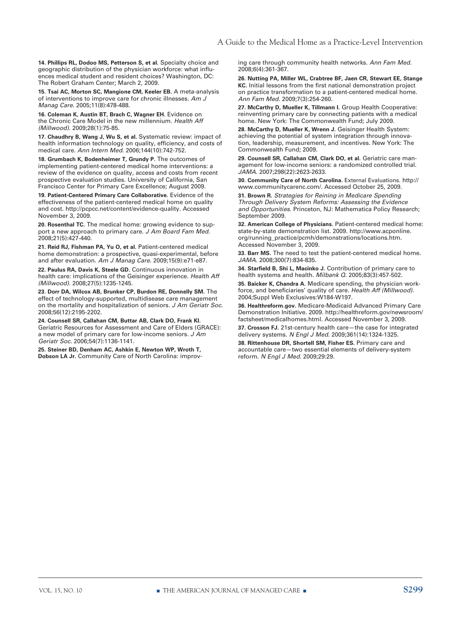**14. Phillips RL, Dodoo MS, Petterson S, et al.** Specialty choice and geographic distribution of the physician workforce: what influences medical student and resident choices? Washington, DC: The Robert Graham Center; March 2, 2009.

**15. Tsai AC, Morton SC, Mangione CM, Keeler EB.** A meta-analysis of interventions to improve care for chronic illnesses. *Am J Manag Care.* 2005;11(8):478-488.

**16. Coleman K, Austin BT, Brach C, Wagner EH.** Evidence on the Chronic Care Model in the new millennium. *Health Aff (Millwood).* 2009;28(1):75-85.

**17. Chaudhry B, Wang J, Wu S, et al.** Systematic review: impact of health information technology on quality, efficiency, and costs of medical care. *Ann Intern Med.* 2006;144(10):742-752.

**18. Grumbach K, Bodenheimer T, Grundy P.** The outcomes of implementing patient-centered medical home interventions: a review of the evidence on quality, access and costs from recent prospective evaluation studies. University of California, San Francisco Center for Primary Care Excellence; August 2009.

**19. Patient-Centered Primary Care Collaborative.** Evidence of the effectiveness of the patient-centered medical home on quality and cost. http://pcpcc.net/content/evidence-quality. Accessed November 3, 2009.

**20. Rosenthal TC.** The medical home: growing evidence to support a new approach to primary care. *J Am Board Fam Med.* 2008;21(5):427-440.

**21. Reid RJ, Fishman PA, Yu O, et al.** Patient-centered medical home demonstration: a prospective, quasi-experimental, before and after evaluation. *Am J Manag Care.* 2009;15(9):e71-e87.

**22. Paulus RA, Davis K, Steele GD.** Continuous innovation in health care: implications of the Geisinger experience. *Health Aff (Millwood).* 2008;27(5):1235-1245.

**23. Dorr DA, Wilcox AB, Brunker CP, Burdon RE, Donnelly SM.** The effect of technology-supported, multidisease care management on the mortality and hospitalization of seniors. *J Am Geriatr Soc.*  2008;56(12):2195-2202.

**24. Counsell SR, Callahan CM, Buttar AB, Clark DO, Frank KI.** Geriatric Resources for Assessment and Care of Elders (GRACE): a new model of primary care for low-income seniors. *J Am Geriatr Soc.* 2006;54(7):1136-1141.

**25. Steiner BD, Denham AC, Ashkin E, Newton WP, Wroth T, Dobson LA Jr.** Community Care of North Carolina: improving care through community health networks. *Ann Fam Med.*  2008;6(4):361-367.

**26. Nutting PA, Miller WL, Crabtree BF, Jaen CR, Stewart EE, Stange KC.** Initial lessons from the first national demonstration project on practice transformation to a patient-centered medical home. *Ann Fam Med.* 2009;7(3):254-260.

**27. McCarthy D, Mueller K, Tillmann I.** Group Health Cooperative: reinventing primary care by connecting patients with a medical home. New York: The Commonwealth Fund; July 2009.

**28. McCarthy D, Mueller K, Wrenn J.** Geisinger Health System: achieving the potential of system integration through innovation, leadership, measurement, and incentives. New York: The Commonwealth Fund; 2009.

**29. Counsell SR, Callahan CM, Clark DO, et al.** Geriatric care management for low-income seniors: a randomized controlled trial. *JAMA.* 2007;298(22):2623-2633.

**30. Community Care of North Carolina.** External Evaluations. http:// www.communitycarenc.com/. Accessed October 25, 2009.

**31. Brown R.** *Strategies for Reining in Medicare Spending Through Delivery System Reforms: Assessing the Evidence and Opportunities.* Princeton, NJ: Mathematica Policy Research; September 2009.

**32. American College of Physicians.** Patient-centered medical home: state-by-state demonstration list. 2009. http://www.acponline. org/running\_practice/pcmh/demonstrations/locations.htm. Accessed November 3, 2009.

**33. Barr MS.** The need to test the patient-centered medical home. *JAMA.* 2008;300(7):834-835.

**34. Starfield B, Shi L, Macinko J.** Contribution of primary care to health systems and health. *Milbank Q.* 2005;83(3):457-502.

**35. Baicker K, Chandra A.** Medicare spending, the physician workforce, and beneficiaries' quality of care. *Health Aff (Millwood).*  2004;Suppl Web Exclusives:W184-W197.

**36. Healthreform.gov.** Medicare-Medicaid Advanced Primary Care Demonstration Initiative. 2009. http://healthreform.gov/newsroom/ factsheet/medicalhomes.html. Accessed November 3, 2009.

**37. Crosson FJ.** 21st-century health care—the case for integrated delivery systems. *N Engl J Med.* 2009;361(14):1324-1325.

**38. Rittenhouse DR, Shortell SM, Fisher ES.** Primary care and accountable care—two essential elements of delivery-system reform. *N Engl J Med.* 2009;29:29.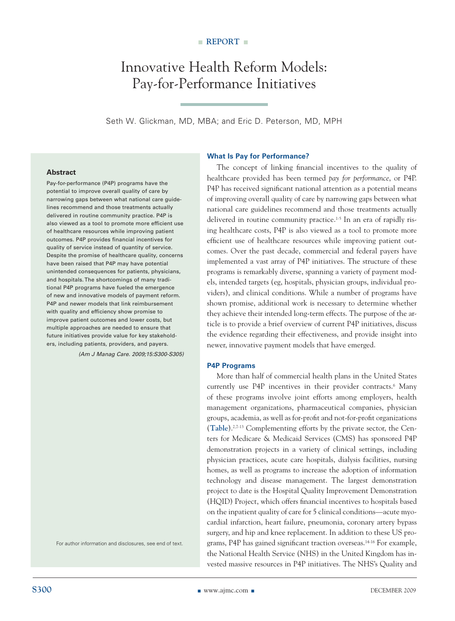### Innovative Health Reform Models: Pay-for-Performance Initiatives

Seth W. Glickman, MD, MBA; and Eric D. Peterson, MD, MPH

#### **Abstract**

Pay-for-performance (P4P) programs have the potential to improve overall quality of care by narrowing gaps between what national care guidelines recommend and those treatments actually delivered in routine community practice. P4P is also viewed as a tool to promote more efficient use of healthcare resources while improving patient outcomes. P4P provides financial incentives for quality of service instead of quantity of service. Despite the promise of healthcare quality, concerns have been raised that P4P may have potential unintended consequences for patients, physicians, and hospitals. The shortcomings of many traditional P4P programs have fueled the emergence of new and innovative models of payment reform. P4P and newer models that link reimbursement with quality and efficiency show promise to improve patient outcomes and lower costs, but multiple approaches are needed to ensure that future initiatives provide value for key stakeholders, including patients, providers, and payers.

*(Am J Manag Care. 2009;15:S300-S305)*

For author information and disclosures, see end of text.

#### **What Is Pay for Performance?**

The concept of linking financial incentives to the quality of healthcare provided has been termed *pay for performance*, or P4P. P4P has received significant national attention as a potential means of improving overall quality of care by narrowing gaps between what national care guidelines recommend and those treatments actually delivered in routine community practice.<sup>1-5</sup> In an era of rapidly rising healthcare costs, P4P is also viewed as a tool to promote more efficient use of healthcare resources while improving patient outcomes. Over the past decade, commercial and federal payers have implemented a vast array of P4P initiatives. The structure of these programs is remarkably diverse, spanning a variety of payment models, intended targets (eg, hospitals, physician groups, individual providers), and clinical conditions. While a number of programs have shown promise, additional work is necessary to determine whether they achieve their intended long-term effects. The purpose of the article is to provide a brief overview of current P4P initiatives, discuss the evidence regarding their effectiveness, and provide insight into newer, innovative payment models that have emerged.

#### **P4P Programs**

More than half of commercial health plans in the United States currently use P4P incentives in their provider contracts.<sup>6</sup> Many of these programs involve joint efforts among employers, health management organizations, pharmaceutical companies, physician groups, academia, as well as for-profit and not-for-profit organizations (**Table**).2,7-13 Complementing efforts by the private sector, the Centers for Medicare & Medicaid Services (CMS) has sponsored P4P demonstration projects in a variety of clinical settings, including physician practices, acute care hospitals, dialysis facilities, nursing homes, as well as programs to increase the adoption of information technology and disease management. The largest demonstration project to date is the Hospital Quality Improvement Demonstration (HQID) Project, which offers financial incentives to hospitals based on the inpatient quality of care for 5 clinical conditions—acute myocardial infarction, heart failure, pneumonia, coronary artery bypass surgery, and hip and knee replacement. In addition to these US programs, P4P has gained significant traction overseas.14-16 For example, the National Health Service (NHS) in the United Kingdom has invested massive resources in P4P initiatives. The NHS's Quality and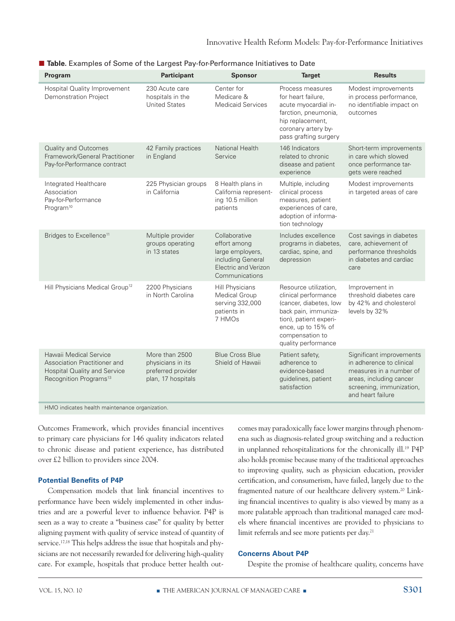| Program                                                                                                                      | <b>Participant</b>                                                              | <b>Sponsor</b>                                                                                                   | <b>Target</b>                                                                                                                                                                             | <b>Results</b>                                                                                                                                              |
|------------------------------------------------------------------------------------------------------------------------------|---------------------------------------------------------------------------------|------------------------------------------------------------------------------------------------------------------|-------------------------------------------------------------------------------------------------------------------------------------------------------------------------------------------|-------------------------------------------------------------------------------------------------------------------------------------------------------------|
| Hospital Quality Improvement<br><b>Demonstration Project</b>                                                                 | 230 Acute care<br>hospitals in the<br><b>United States</b>                      | Center for<br>Medicare &<br><b>Medicaid Services</b>                                                             | Process measures<br>for heart failure,<br>acute myocardial in-<br>farction, pneumonia,<br>hip replacement,<br>coronary artery by-<br>pass grafting surgery                                | Modest improvements<br>in process performance,<br>no identifiable impact on<br>outcomes                                                                     |
| <b>Quality and Outcomes</b><br>Framework/General Practitioner<br>Pay-for-Performance contract                                | 42 Family practices<br>in England                                               | National Health<br>Service                                                                                       | 146 Indicators<br>related to chronic<br>disease and patient<br>experience                                                                                                                 | Short-term improvements<br>in care which slowed<br>once performance tar-<br>gets were reached                                                               |
| Integrated Healthcare<br>Association<br>Pay-for-Performance<br>Program <sup>10</sup>                                         | 225 Physician groups<br>in California                                           | 8 Health plans in<br>California represent-<br>ing 10.5 million<br>patients                                       | Multiple, including<br>clinical process<br>measures, patient<br>experiences of care,<br>adoption of informa-<br>tion technology                                                           | Modest improvements<br>in targeted areas of care                                                                                                            |
| Bridges to Excellence <sup>11</sup>                                                                                          | Multiple provider<br>groups operating<br>in 13 states                           | Collaborative<br>effort among<br>large employers,<br>including General<br>Electric and Verizon<br>Communications | Includes excellence<br>programs in diabetes,<br>cardiac, spine, and<br>depression                                                                                                         | Cost savings in diabetes<br>care, achievement of<br>performance thresholds<br>in diabetes and cardiac<br>care                                               |
| Hill Physicians Medical Group <sup>12</sup>                                                                                  | 2200 Physicians<br>in North Carolina                                            | Hill Physicians<br>Medical Group<br>serving 332,000<br>patients in<br>7 HMOs                                     | Resource utilization,<br>clinical performance<br>(cancer, diabetes, low<br>back pain, immuniza-<br>tion), patient experi-<br>ence, up to 15% of<br>compensation to<br>quality performance | Improvement in<br>threshold diabetes care<br>by 42% and cholesterol<br>levels by 32%                                                                        |
| Hawaii Medical Service<br>Association Practitioner and<br>Hospital Quality and Service<br>Recognition Programs <sup>13</sup> | More than 2500<br>physicians in its<br>preferred provider<br>plan, 17 hospitals | <b>Blue Cross Blue</b><br>Shield of Hawaii                                                                       | Patient safety,<br>adherence to<br>evidence-based<br>guidelines, patient<br>satisfaction                                                                                                  | Significant improvements<br>in adherence to clinical<br>measures in a number of<br>areas, including cancer<br>screening, immunization,<br>and heart failure |
| HMO indicates health maintenance organization.                                                                               |                                                                                 |                                                                                                                  |                                                                                                                                                                                           |                                                                                                                                                             |

■ Table. Examples of Some of the Largest Pay-for-Performance Initiatives to Date

Outcomes Framework, which provides financial incentives to primary care physicians for 146 quality indicators related to chronic disease and patient experience, has distributed over £2 billion to providers since 2004.

#### **Potential Benefits of P4P**

Compensation models that link financial incentives to performance have been widely implemented in other industries and are a powerful lever to influence behavior. P4P is seen as a way to create a "business case" for quality by better aligning payment with quality of service instead of quantity of service.17,18 This helps address the issue that hospitals and physicians are not necessarily rewarded for delivering high-quality care. For example, hospitals that produce better health outcomes may paradoxically face lower margins through phenomena such as diagnosis-related group switching and a reduction in unplanned rehospitalizations for the chronically ill.19 P4P also holds promise because many of the traditional approaches to improving quality, such as physician education, provider certification, and consumerism, have failed, largely due to the fragmented nature of our healthcare delivery system.<sup>20</sup> Linking financial incentives to quality is also viewed by many as a more palatable approach than traditional managed care models where financial incentives are provided to physicians to limit referrals and see more patients per day.<sup>21</sup>

#### **Concerns About P4P**

Despite the promise of healthcare quality, concerns have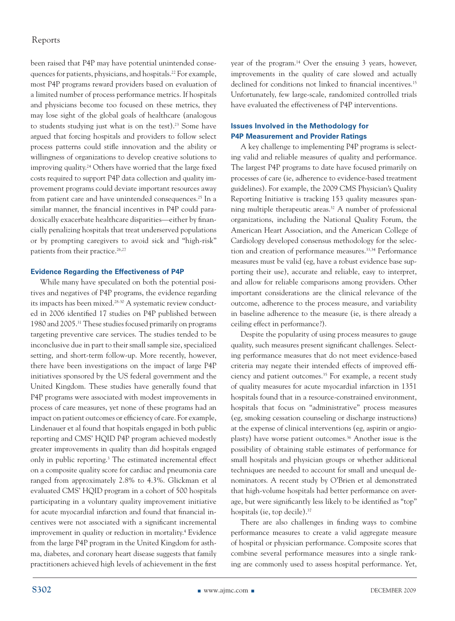been raised that P4P may have potential unintended consequences for patients, physicians, and hospitals.22 For example, most P4P programs reward providers based on evaluation of a limited number of process performance metrics. If hospitals and physicians become too focused on these metrics, they may lose sight of the global goals of healthcare (analogous to students studying just what is on the test).<sup>23</sup> Some have argued that forcing hospitals and providers to follow select process patterns could stifle innovation and the ability or willingness of organizations to develop creative solutions to improving quality.24 Others have worried that the large fixed costs required to support P4P data collection and quality improvement programs could deviate important resources away from patient care and have unintended consequences.25 In a similar manner, the financial incentives in P4P could paradoxically exacerbate healthcare disparities—either by financially penalizing hospitals that treat underserved populations or by prompting caregivers to avoid sick and "high-risk" patients from their practice.<sup>26,27</sup>

#### **Evidence Regarding the Effectiveness of P4P**

While many have speculated on both the potential positives and negatives of P4P programs, the evidence regarding its impacts has been mixed.28-30 A systematic review conducted in 2006 identified 17 studies on P4P published between 1980 and 2005.31 These studies focused primarily on programs targeting preventive care services. The studies tended to be inconclusive due in part to their small sample size, specialized setting, and short-term follow-up. More recently, however, there have been investigations on the impact of large P4P initiatives sponsored by the US federal government and the United Kingdom. These studies have generally found that P4P programs were associated with modest improvements in process of care measures, yet none of these programs had an impact on patient outcomes or efficiency of care. For example, Lindenauer et al found that hospitals engaged in both public reporting and CMS' HQID P4P program achieved modestly greater improvements in quality than did hospitals engaged only in public reporting.3 The estimated incremental effect on a composite quality score for cardiac and pneumonia care ranged from approximately 2.8% to 4.3%. Glickman et al evaluated CMS' HQID program in a cohort of 500 hospitals participating in a voluntary quality improvement initiative for acute myocardial infarction and found that financial incentives were not associated with a significant incremental improvement in quality or reduction in mortality.<sup>4</sup> Evidence from the large P4P program in the United Kingdom for asthma, diabetes, and coronary heart disease suggests that family practitioners achieved high levels of achievement in the first

year of the program.14 Over the ensuing 3 years, however, improvements in the quality of care slowed and actually declined for conditions not linked to financial incentives.<sup>15</sup> Unfortunately, few large-scale, randomized controlled trials have evaluated the effectiveness of P4P interventions.

#### **Issues Involved in the Methodology for P4P Measurement and Provider Ratings**

A key challenge to implementing P4P programs is selecting valid and reliable measures of quality and performance. The largest P4P programs to date have focused primarily on processes of care (ie, adherence to evidence-based treatment guidelines). For example, the 2009 CMS Physician's Quality Reporting Initiative is tracking 153 quality measures spanning multiple therapeutic areas.32 A number of professional organizations, including the National Quality Forum, the American Heart Association, and the American College of Cardiology developed consensus methodology for the selection and creation of performance measures.33,34 Performance measures must be valid (eg, have a robust evidence base supporting their use), accurate and reliable, easy to interpret, and allow for reliable comparisons among providers. Other important considerations are the clinical relevance of the outcome, adherence to the process measure, and variability in baseline adherence to the measure (ie, is there already a ceiling effect in performance?).

Despite the popularity of using process measures to gauge quality, such measures present significant challenges. Selecting performance measures that do not meet evidence-based criteria may negate their intended effects of improved efficiency and patient outcomes.<sup>35</sup> For example, a recent study of quality measures for acute myocardial infarction in 1351 hospitals found that in a resource-constrained environment, hospitals that focus on "administrative" process measures (eg, smoking cessation counseling or discharge instructions) at the expense of clinical interventions (eg, aspirin or angioplasty) have worse patient outcomes.36 Another issue is the possibility of obtaining stable estimates of performance for small hospitals and physician groups or whether additional techniques are needed to account for small and unequal denominators. A recent study by O'Brien et al demonstrated that high-volume hospitals had better performance on average, but were significantly less likely to be identified as "top" hospitals (ie, top decile).37

There are also challenges in finding ways to combine performance measures to create a valid aggregate measure of hospital or physician performance. Composite scores that combine several performance measures into a single ranking are commonly used to assess hospital performance. Yet,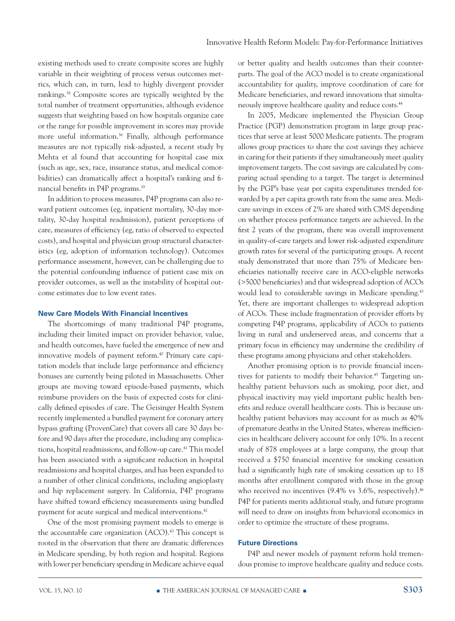existing methods used to create composite scores are highly variable in their weighting of process versus outcomes metrics, which can, in turn, lead to highly divergent provider rankings.38 Composite scores are typically weighted by the total number of treatment opportunities, although evidence suggests that weighting based on how hospitals organize care or the range for possible improvement in scores may provide more useful information.<sup>36</sup> Finally, although performance measures are not typically risk-adjusted, a recent study by Mehta et al found that accounting for hospital case mix (such as age, sex, race, insurance status, and medical comorbidities) can dramatically affect a hospital's ranking and financial benefits in P4P programs.39

In addition to process measures, P4P programs can also reward patient outcomes (eg, inpatient mortality, 30-day mortality, 30-day hospital readmission), patient perceptions of care, measures of efficiency (eg, ratio of observed to expected costs), and hospital and physician group structural characteristics (eg, adoption of information technology). Outcomes performance assessment, however, can be challenging due to the potential confounding influence of patient case mix on provider outcomes, as well as the instability of hospital outcome estimates due to low event rates.

#### **New Care Models With Financial Incentives**

The shortcomings of many traditional P4P programs, including their limited impact on provider behavior, value, and health outcomes, have fueled the emergence of new and innovative models of payment reform.<sup>40</sup> Primary care capitation models that include large performance and efficiency bonuses are currently being piloted in Massachusetts. Other groups are moving toward episode-based payments, which reimburse providers on the basis of expected costs for clinically defined episodes of care. The Geisinger Health System recently implemented a bundled payment for coronary artery bypass grafting (ProvenCare) that covers all care 30 days before and 90 days after the procedure, including any complications, hospital readmissions, and follow-up care.<sup>41</sup> This model has been associated with a significant reduction in hospital readmissions and hospital charges, and has been expanded to a number of other clinical conditions, including angioplasty and hip replacement surgery. In California, P4P programs have shifted toward efficiency measurements using bundled payment for acute surgical and medical interventions.<sup>42</sup>

One of the most promising payment models to emerge is the accountable care organization (ACO).<sup>43</sup> This concept is rooted in the observation that there are dramatic differences in Medicare spending, by both region and hospital. Regions with lower per beneficiary spending in Medicare achieve equal

or better quality and health outcomes than their counterparts. The goal of the ACO model is to create organizational accountability for quality, improve coordination of care for Medicare beneficiaries, and reward innovations that simultaneously improve healthcare quality and reduce costs.44

In 2005, Medicare implemented the Physician Group Practice (PGP) demonstration program in large group practices that serve at least 5000 Medicare patients. The program allows group practices to share the cost savings they achieve in caring for their patients if they simultaneously meet quality improvement targets. The cost savings are calculated by comparing actual spending to a target. The target is determined by the PGP's base year per capita expenditures trended forwarded by a per capita growth rate from the same area. Medicare savings in excess of 2% are shared with CMS depending on whether process performance targets are achieved. In the first 2 years of the program, there was overall improvement in quality-of-care targets and lower risk-adjusted expenditure growth rates for several of the participating groups. A recent study demonstrated that more than 75% of Medicare beneficiaries nationally receive care in ACO-eligible networks (>5000 beneficiaries) and that widespread adoption of ACOs would lead to considerable savings in Medicare spending.<sup>43</sup> Yet, there are important challenges to widespread adoption of ACOs. These include fragmentation of provider efforts by competing P4P programs, applicability of ACOs to patients living in rural and underserved areas, and concerns that a primary focus in efficiency may undermine the credibility of these programs among physicians and other stakeholders.

Another promising option is to provide financial incentives for patients to modify their behavior.<sup>45</sup> Targeting unhealthy patient behaviors such as smoking, poor diet, and physical inactivity may yield important public health benefits and reduce overall healthcare costs. This is because unhealthy patient behaviors may account for as much as 40% of premature deaths in the United States, whereas inefficiencies in healthcare delivery account for only 10%. In a recent study of 878 employees at a large company, the group that received a \$750 financial incentive for smoking cessation had a significantly high rate of smoking cessation up to 18 months after enrollment compared with those in the group who received no incentives (9.4% vs 3.6%, respectively).<sup>46</sup> P4P for patients merits additional study, and future programs will need to draw on insights from behavioral economics in order to optimize the structure of these programs.

#### **Future Directions**

P4P and newer models of payment reform hold tremendous promise to improve healthcare quality and reduce costs.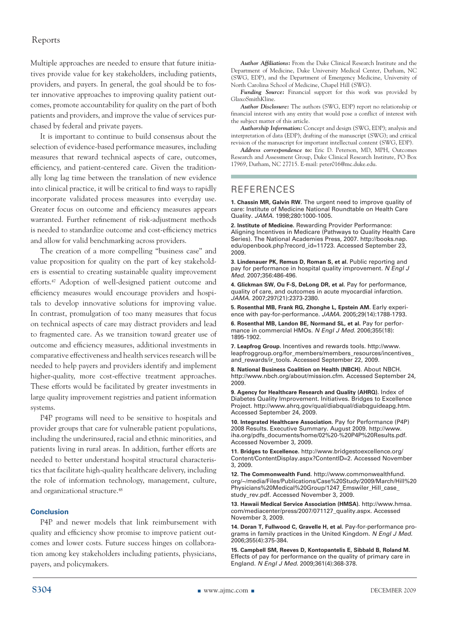Multiple approaches are needed to ensure that future initiatives provide value for key stakeholders, including patients, providers, and payers. In general, the goal should be to foster innovative approaches to improving quality patient outcomes, promote accountability for quality on the part of both patients and providers, and improve the value of services purchased by federal and private payers.

It is important to continue to build consensus about the selection of evidence-based performance measures, including measures that reward technical aspects of care, outcomes, efficiency, and patient-centered care. Given the traditionally long lag time between the translation of new evidence into clinical practice, it will be critical to find ways to rapidly incorporate validated process measures into everyday use. Greater focus on outcome and efficiency measures appears warranted. Further refinement of risk-adjustment methods is needed to standardize outcome and cost-efficiency metrics and allow for valid benchmarking across providers.

The creation of a more compelling "business case" and value proposition for quality on the part of key stakeholders is essential to creating sustainable quality improvement efforts.47 Adoption of well-designed patient outcome and efficiency measures would encourage providers and hospitals to develop innovative solutions for improving value. In contrast, promulgation of too many measures that focus on technical aspects of care may distract providers and lead to fragmented care. As we transition toward greater use of outcome and efficiency measures, additional investments in comparative effectiveness and health services research will be needed to help payers and providers identify and implement higher-quality, more cost-effective treatment approaches. These efforts would be facilitated by greater investments in large quality improvement registries and patient information systems.

P4P programs will need to be sensitive to hospitals and provider groups that care for vulnerable patient populations, including the underinsured, racial and ethnic minorities, and patients living in rural areas. In addition, further efforts are needed to better understand hospital structural characteristics that facilitate high-quality healthcare delivery, including the role of information technology, management, culture, and organizational structure.<sup>48</sup>

#### **Conclusion**

P4P and newer models that link reimbursement with quality and efficiency show promise to improve patient outcomes and lower costs. Future success hinges on collaboration among key stakeholders including patients, physicians, payers, and policymakers.

*Author Affiliations:* From the Duke Clinical Research Institute and the Department of Medicine, Duke University Medical Center, Durham, NC (SWG, EDP), and the Department of Emergency Medicine, University of North Carolina School of Medicine, Chapel Hill (SWG).

*Funding Source:* Financial support for this work was provided by GlaxoSmithKline.

*Author Disclosure:* The authors (SWG, EDP) report no relationship or financial interest with any entity that would pose a conflict of interest with the subject matter of this article.

*Authorship Information:* Concept and design (SWG, EDP); analysis and interpretation of data (EDP); drafting of the manuscript (SWG); and critical revision of the manuscript for important intellectual content (SWG, EDP).

*Address correspondence to:* Eric D. Peterson, MD, MPH, Outcomes Research and Assessment Group, Duke Clinical Research Institute, PO Box 17969, Durham, NC 27715. E-mail: peter016@mc.duke.edu.

#### References

**1. Chassin MR, Galvin RW.** The urgent need to improve quality of care: Institute of Medicine National Roundtable on Health Care Quality. *JAMA.* 1998;280:1000-1005.

**2. Institute of Medicine.** Rewarding Provider Performance: Aligning Incentives in Medicare (Pathways to Quality Health Care Series). The National Academies Press, 2007. http://books.nap. edu/openbook.php?record\_id=11723. Accessed September 23, 2009.

**3. Lindenauer PK, Remus D, Roman S, et al.** Public reporting and pay for performance in hospital quality improvement. *N Engl J Med.* 2007;356:486-496.

**4. Glickman SW, Ou F-S, DeLong DR, et al.** Pay for performance, quality of care, and outcomes in acute myocardial infarction. *JAMA.* 2007;297(21):2373-2380.

**5. Rosenthal MB, Frank RG, Zhonghe L, Epstein AM.** Early experience with pay-for-performance. *JAMA.* 2005;29(14):1788-1793.

**6. Rosenthal MB, Landon BE, Normand SL, et al.** Pay for performance in commercial HMOs. *N Engl J Med.* 2006;355(18): 1895-1902.

**7. Leapfrog Group.** Incentives and rewards tools. http://www. leapfroggroup.org/for\_members/members\_resources/incentives\_ and\_rewards/ir\_tools. Accessed September 22, 2009.

**8. National Business Coalition on Health (NBCH).** About NBCH. http://www.nbch.org/about/mission.cfm. Accessed September 24, 2009.

**9. Agency for Healthcare Research and Quality (AHRQ).** Index of Diabetes Quality Improvement. Initiatives. Bridges to Excellence Project. http://www.ahrq.gov/qual/diabqual/diabqguideapg.htm. Accessed September 24, 2009.

**10. Integrated Healthcare Association.** Pay for Performance (P4P) 2008 Results. Executive Summary. August 2009. http://www. iha.org/pdfs\_documents/home/02%20-%20P4P%20Results.pdf. Accessed November 3, 2009.

**11. Bridges to Excellence.** http://www.bridgestoexcellence.org/ Content/ContentDisplay.aspx?ContentID=2. Accessed November 3, 2009.

**12. The Commonwealth Fund.** http://www.commonwealthfund. org/~/media/Files/Publications/Case%20Study/2009/March/Hill%20 Physicians%20Medical%20Group/1247\_Emswiler\_Hill\_case\_ study\_rev.pdf. Accessed November 3, 2009.

**13. Hawaii Medical Service Association (HMSA).** http://www.hmsa. com/mediacenter/press/2007/071127\_quality.aspx. Accessed November 3, 2009.

**14. Doran T, Fullwood C, Gravelle H, et al.** Pay-for-performance programs in family practices in the United Kingdom. *N Engl J Med.* 2006;355(4):375-384.

**15. Campbell SM, Reeves D, Kontopantelis E, Sibbald B, Roland M.** Effects of pay for performance on the quality of primary care in England. *N Engl J Med.* 2009;361(4):368-378.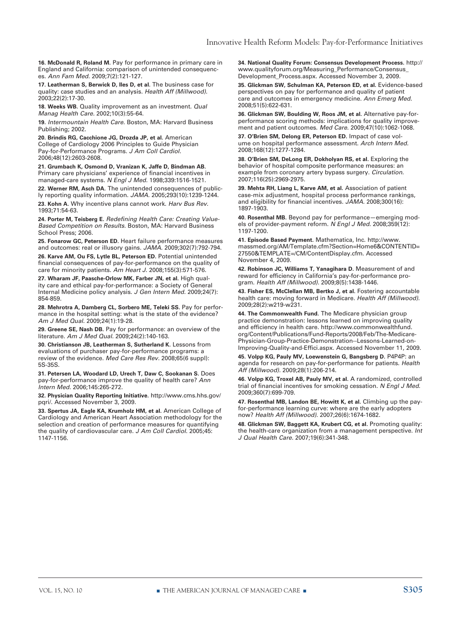**16. McDonald R, Roland M.** Pay for performance in primary care in England and California: comparison of unintended consequences. *Ann Fam Med.* 2009;7(2):121-127.

**17. Leatherman S, Berwick D, Iles D, et al.** The business case for quality: case studies and an analysis. *Health Aff (Millwood).* 2003;22(2):17-30.

**18. Weeks WB.** Quality improvement as an investment. *Qual Manag Health Care.* 2002;10(3):55-64.

**19.** *Intermountain Health Care.* Boston, MA: Harvard Business Publishing; 2002.

**20. Brindis RG, Cacchione JG, Drozda JP, et al.** American College of Cardiology 2006 Principles to Guide Physician Pay-for-Performance Programs. *J Am Coll Cardiol.* 2006;48(12):2603-2608.

**21. Grumbach K, Osmond D, Vranizan K, Jaffe D, Bindman AB.** Primary care physicians' experience of financial incentives in managed-care systems. *N Engl J Med.* 1998;339:1516-1521.

**22. Werner RM, Asch DA.** The unintended consequences of publicly reporting quality information. *JAMA.* 2005;293(10):1239-1244.

**23. Kohn A.** Why incentive plans cannot work. *Harv Bus Rev.* 1993;71:54-63.

**24. Porter M, Teisberg E.** *Redefining Health Care: Creating Value-Based Competition on Results.* Boston, MA: Harvard Business School Press; 2006.

**25. Fonarow GC, Peterson ED.** Heart failure performance measures and outcomes: real or illusory gains. *JAMA.* 2009;302(7):792-794.

**26. Karve AM, Ou FS, Lytle BL, Peterson ED.** Potential unintended financial consequences of pay-for-performance on the quality of care for minority patients. *Am Heart J.* 2008;155(3):571-576.

**27. Wharam JF, Paasche-Orlow MK, Farber JN, et al.** High quality care and ethical pay-for-performance: a Society of General Internal Medicine policy analysis. *J Gen Intern Med.* 2009;24(7): 854-859.

**28. Mehrotra A, Damberg CL, Sorbero ME, Teleki SS.** Pay for performance in the hospital setting: what is the state of the evidence? *Am J Med Qual.* 2009;24(1):19-28.

**29. Greene SE, Nash DB.** Pay for performance: an overview of the literature. *Am J Med Qual.* 2009;24(2):140-163.

**30. Christianson JB, Leatherman S, Sutherland K.** Lessons from evaluations of purchaser pay-for-performance programs: a review of the evidence. *Med Care Res Rev.* 2008;65(6 suppl): 5S-35S.

**31. Petersen LA, Woodard LD, Urech T, Daw C, Sookanan S.** Does pay-for-performance improve the quality of health care? *Ann Intern Med.* 2006;145:265-272.

**32. Physician Quality Reporting Initiative.** http://www.cms.hhs.gov/ pqri/. Accessed November 3, 2009.

**33. Spertus JA, Eagle KA, Krumholz HM, et al.** American College of Cardiology and American Heart Association methodology for the selection and creation of performance measures for quantifying the quality of cardiovascular care. *J Am Coll Cardiol.* 2005;45: 1147-1156.

**34. National Quality Forum: Consensus Development Process.** http:// www.qualityforum.org/Measuring\_Performance/Consensus\_ Development\_Process.aspx. Accessed November 3, 2009.

**35. Glickman SW, Schulman KA, Peterson ED, et al.** Evidence-based perspectives on pay for performance and quality of patient care and outcomes in emergency medicine. *Ann Emerg Med.* 2008;51(5):622-631.

**36. Glickman SW, Boulding W, Roos JM, et al.** Alternative pay-forperformance scoring methods: implications for quality improvement and patient outcomes. *Med Care.* 2009;47(10):1062-1068.

**37. O'Brien SM, Delong ER, Peterson ED.** Impact of case volume on hospital performance assessment. *Arch Intern Med.*  2008;168(12):1277-1284.

**38. O'Brien SM, DeLong ER, Dokholyan RS, et al.** Exploring the behavior of hospital composite performance measures: an example from coronary artery bypass surgery. *Circulation.* 2007;116(25):2969-2975.

**39. Mehta RH, Liang L, Karve AM, et al.** Association of patient case-mix adjustment, hospital process performance rankings, and eligibility for financial incentives. *JAMA.* 2008;300(16): 1897-1903.

**40. Rosenthal MB.** Beyond pay for performance—emerging models of provider-payment reform. *N Engl J Med.* 2008;359(12): 1197-1200.

**41. Episode Based Payment.** Mathematica, Inc. http://www. massmed.org/AM/Template.cfm?Section=Home6&CONTENTID= 27550&TEMPLATE=/CM/ContentDisplay.cfm. Accessed November 4, 2009.

**42. Robinson JC, Williams T, Yanagihara D.** Measurement of and reward for efficiency in California's pay-for-performance program. *Health Aff (Millwood).* 2009;8(5):1438-1446.

**43. Fisher ES, McClellan MB, Bertko J, et al.** Fostering accountable health care: moving forward in Medicare. *Health Aff (Millwood).*  2009;28(2):w219-w231.

**44. The Commonwealth Fund.** The Medicare physician group practice demonstration: lessons learned on improving quality and efficiency in health care. http://www.commonwealthfund. org/Content/Publications/Fund-Reports/2008/Feb/The-Medicare-Physician-Group-Practice-Demonstration--Lessons-Learned-on-Improving-Quality-and-Effici.aspx. Accessed November 11, 2009.

**45. Volpp KG, Pauly MV, Loewenstein G, Bangsberg D.** P4P4P: an agenda for research on pay-for-performance for patients. *Health Aff (Millwood).* 2009;28(1):206-214.

**46. Volpp KG, Troxel AB, Pauly MV, et al.** A randomized, controlled trial of financial incentives for smoking cessation. *N Engl J Med.*  2009;360(7):699-709.

**47. Rosenthal MB, Landon BE, Howitt K, et al.** Climbing up the payfor-performance learning curve: where are the early adopters now? *Health Aff (Millwood).* 2007;26(6):1674-1682.

**48. Glickman SW, Baggett KA, Krubert CG, et al.** Promoting quality: the health-care organization from a management perspective. *Int J Qual Health Care.* 2007;19(6):341-348.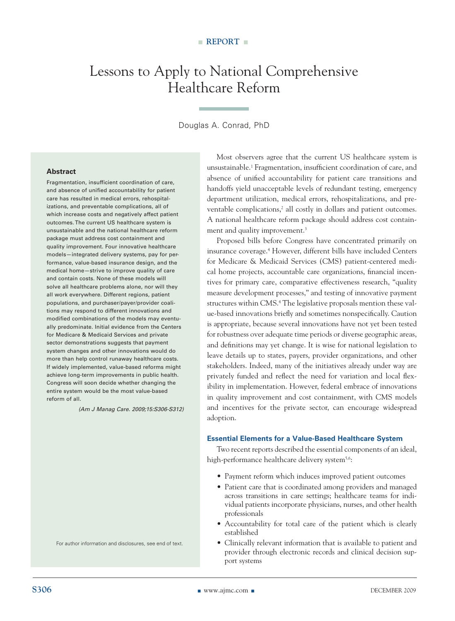## Lessons to Apply to National Comprehensive Healthcare Reform

#### Douglas A. Conrad, PhD

#### **Abstract**

Fragmentation, insufficient coordination of care, and absence of unified accountability for patient care has resulted in medical errors, rehospitalizations, and preventable complications, all of which increase costs and negatively affect patient outcomes. The current US healthcare system is unsustainable and the national healthcare reform package must address cost containment and quality improvement. Four innovative healthcare models—integrated delivery systems, pay for performance, value-based insurance design, and the medical home—strive to improve quality of care and contain costs. None of these models will solve all healthcare problems alone, nor will they all work everywhere. Different regions, patient populations, and purchaser/payer/provider coalitions may respond to different innovations and modified combinations of the models may eventually predominate. Initial evidence from the Centers for Medicare & Medicaid Services and private sector demonstrations suggests that payment system changes and other innovations would do more than help control runaway healthcare costs. If widely implemented, value-based reforms might achieve long-term improvements in public health. Congress will soon decide whether changing the entire system would be the most value-based reform of all.

*(Am J Manag Care. 2009;15:S306-S312)*

For author information and disclosures, see end of text.

Most observers agree that the current US healthcare system is unsustainable.1 Fragmentation, insufficient coordination of care, and absence of unified accountability for patient care transitions and handoffs yield unacceptable levels of redundant testing, emergency department utilization, medical errors, rehospitalizations, and preventable complications,<sup>2</sup> all costly in dollars and patient outcomes. A national healthcare reform package should address cost containment and quality improvement.<sup>3</sup>

Proposed bills before Congress have concentrated primarily on insurance coverage.4 However, different bills have included Centers for Medicare & Medicaid Services (CMS) patient-centered medical home projects, accountable care organizations, financial incentives for primary care, comparative effectiveness research, "quality measure development processes," and testing of innovative payment structures within CMS.<sup>4</sup> The legislative proposals mention these value-based innovations briefly and sometimes nonspecifically. Caution is appropriate, because several innovations have not yet been tested for robustness over adequate time periods or diverse geographic areas, and definitions may yet change. It is wise for national legislation to leave details up to states, payers, provider organizations, and other stakeholders. Indeed, many of the initiatives already under way are privately funded and reflect the need for variation and local flexibility in implementation. However, federal embrace of innovations in quality improvement and cost containment, with CMS models and incentives for the private sector, can encourage widespread adoption.

#### **Essential Elements for a Value-Based Healthcare System**

Two recent reports described the essential components of an ideal, high-performance healthcare delivery system<sup>5,6</sup>:

- • Payment reform which induces improved patient outcomes
- Patient care that is coordinated among providers and managed across transitions in care settings; healthcare teams for individual patients incorporate physicians, nurses, and other health professionals
- • Accountability for total care of the patient which is clearly established
- • Clinically relevant information that is available to patient and provider through electronic records and clinical decision support systems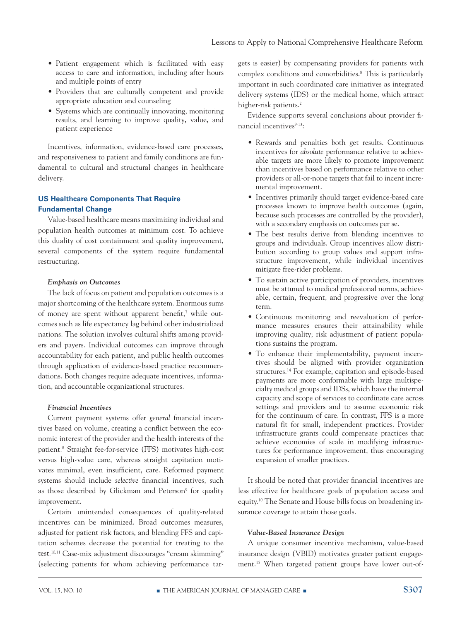- Patient engagement which is facilitated with easy access to care and information, including after hours and multiple points of entry
- • Providers that are culturally competent and provide appropriate education and counseling
- Systems which are continually innovating, monitoring results, and learning to improve quality, value, and patient experience

Incentives, information, evidence-based care processes, and responsiveness to patient and family conditions are fundamental to cultural and structural changes in healthcare delivery.

#### **US Healthcare Components That Require Fundamental Change**

Value-based healthcare means maximizing individual and population health outcomes at minimum cost. To achieve this duality of cost containment and quality improvement, several components of the system require fundamental restructuring.

#### *Emphasis on Outcomes*

The lack of focus on patient and population outcomes is a major shortcoming of the healthcare system. Enormous sums of money are spent without apparent benefit,<sup>7</sup> while outcomes such as life expectancy lag behind other industrialized nations. The solution involves cultural shifts among providers and payers. Individual outcomes can improve through accountability for each patient, and public health outcomes through application of evidence-based practice recommendations. Both changes require adequate incentives, information, and accountable organizational structures.

#### *Financial Incentives*

Current payment systems offer *general* financial incentives based on volume, creating a conflict between the economic interest of the provider and the health interests of the patient.8 Straight fee-for-service (FFS) motivates high-cost versus high-value care, whereas straight capitation motivates minimal, even insufficient, care. Reformed payment systems should include *selective* financial incentives, such as those described by Glickman and Peterson<sup>9</sup> for quality improvement.

Certain unintended consequences of quality-related incentives can be minimized. Broad outcomes measures, adjusted for patient risk factors, and blending FFS and capitation schemes decrease the potential for treating to the test.10,11 Case-mix adjustment discourages "cream skimming" (selecting patients for whom achieving performance targets is easier) by compensating providers for patients with complex conditions and comorbidities.8 This is particularly important in such coordinated care initiatives as integrated delivery systems (IDS) or the medical home, which attract higher-risk patients.<sup>2</sup>

Evidence supports several conclusions about provider financial incentives<sup>9-13</sup>:

- Rewards and penalties both get results. Continuous incentives for *absolute* performance relative to achievable targets are more likely to promote improvement than incentives based on performance relative to other providers or all-or-none targets that fail to incent incremental improvement.
- Incentives primarily should target evidence-based care processes known to improve health outcomes (again, because such processes are controlled by the provider), with a secondary emphasis on outcomes per se.
- The best results derive from blending incentives to groups and individuals. Group incentives allow distribution according to group values and support infrastructure improvement, while individual incentives mitigate free-rider problems.
- To sustain active participation of providers, incentives must be attuned to medical professional norms, achievable, certain, frequent, and progressive over the long term.
- Continuous monitoring and reevaluation of performance measures ensures their attainability while improving quality; risk adjustment of patient populations sustains the program.
- To enhance their implementability, payment incentives should be aligned with provider organization structures.14 For example, capitation and episode-based payments are more conformable with large multispecialty medical groups and IDSs, which have the internal capacity and scope of services to coordinate care across settings and providers and to assume economic risk for the continuum of care. In contrast, FFS is a more natural fit for small, independent practices. Provider infrastructure grants could compensate practices that achieve economies of scale in modifying infrastructures for performance improvement, thus encouraging expansion of smaller practices.

It should be noted that provider financial incentives are less effective for healthcare goals of population access and equity.10 The Senate and House bills focus on broadening insurance coverage to attain those goals.

#### *Value-Based Insurance Design*

A unique consumer incentive mechanism, value-based insurance design (VBID) motivates greater patient engagement.15 When targeted patient groups have lower out-of-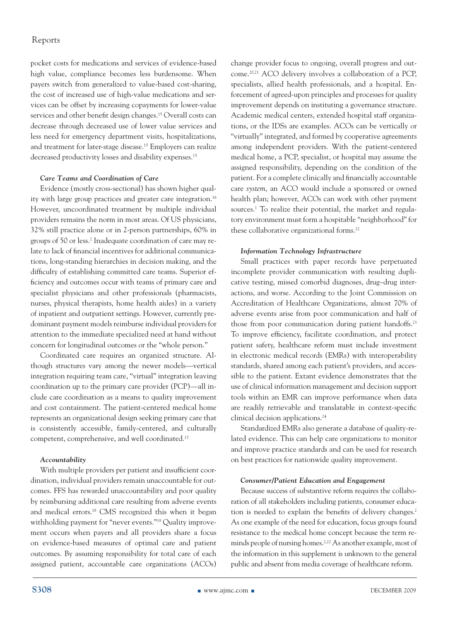pocket costs for medications and services of evidence-based high value, compliance becomes less burdensome. When payers switch from generalized to value-based cost-sharing, the cost of increased use of high-value medications and services can be offset by increasing copayments for lower-value services and other benefit design changes.15 Overall costs can decrease through decreased use of lower value services and less need for emergency department visits, hospitalizations, and treatment for later-stage disease.15 Employers can realize decreased productivity losses and disability expenses.<sup>15</sup>

#### *Care Teams and Coordination of Care*

Evidence (mostly cross-sectional) has shown higher quality with large group practices and greater care integration.16 However, uncoordinated treatment by multiple individual providers remains the norm in most areas. Of US physicians, 32% still practice alone or in 2-person partnerships, 60% in groups of 50 or less.2 Inadequate coordination of care may relate to lack of financial incentives for additional communications, long-standing hierarchies in decision making, and the difficulty of establishing committed care teams. Superior efficiency and outcomes occur with teams of primary care and specialist physicians and other professionals (pharmacists, nurses, physical therapists, home health aides) in a variety of inpatient and outpatient settings. However, currently predominant payment models reimburse individual providers for attention to the immediate specialized need at hand without concern for longitudinal outcomes or the "whole person."

Coordinated care requires an organized structure. Although structures vary among the newer models—vertical integration requiring team care, "virtual" integration leaving coordination up to the primary care provider (PCP)—all include care coordination as a means to quality improvement and cost containment. The patient-centered medical home represents an organizational design seeking primary care that is consistently accessible, family-centered, and culturally competent, comprehensive, and well coordinated.17

#### *Accountability*

With multiple providers per patient and insufficient coordination, individual providers remain unaccountable for outcomes. FFS has rewarded unaccountability and poor quality by reimbursing additional care resulting from adverse events and medical errors.18 CMS recognized this when it began withholding payment for "never events."19 Quality improvement occurs when payers and all providers share a focus on evidence-based measures of optimal care and patient outcomes. By assuming responsibility for total care of each assigned patient, accountable care organizations (ACOs) change provider focus to ongoing, overall progress and outcome.20,21 ACO delivery involves a collaboration of a PCP, specialists, allied health professionals, and a hospital. Enforcement of agreed-upon principles and processes for quality improvement depends on instituting a governance structure. Academic medical centers, extended hospital staff organizations, or the IDSs are examples. ACOs can be vertically or "virtually" integrated, and formed by cooperative agreements among independent providers. With the patient-centered medical home, a PCP, specialist, or hospital may assume the assigned responsibility, depending on the condition of the patient. For a complete clinically and financially accountable care *system*, an ACO would include a sponsored or owned health plan; however, ACOs can work with other payment sources.<sup>1</sup> To realize their potential, the market and regulatory environment must form a hospitable "neighborhood" for these collaborative organizational forms.<sup>22</sup>

#### *Information Technology Infrastructure*

Small practices with paper records have perpetuated incomplete provider communication with resulting duplicative testing, missed comorbid diagnoses, drug–drug interactions, and worse. According to the Joint Commission on Accreditation of Healthcare Organizations, almost 70% of adverse events arise from poor communication and half of those from poor communication during patient handoffs.<sup>23</sup> To improve efficiency, facilitate coordination, and protect patient safety, healthcare reform must include investment in electronic medical records (EMRs) with interoperability standards, shared among each patient's providers, and accessible to the patient. Extant evidence demonstrates that the use of clinical information management and decision support tools within an EMR can improve performance when data are readily retrievable and translatable in context-specific clinical decision applications.24

Standardized EMRs also generate a database of quality-related evidence. This can help care organizations to monitor and improve practice standards and can be used for research on best practices for nationwide quality improvement.

#### *Consumer/Patient Education and Engagement*

Because success of substantive reform requires the collaboration of all stakeholders including patients, consumer education is needed to explain the benefits of delivery changes.<sup>2</sup> As one example of the need for education, focus groups found resistance to the medical home concept because the term reminds people of nursing homes.2,22 As another example, most of the information in this supplement is unknown to the general public and absent from media coverage of healthcare reform.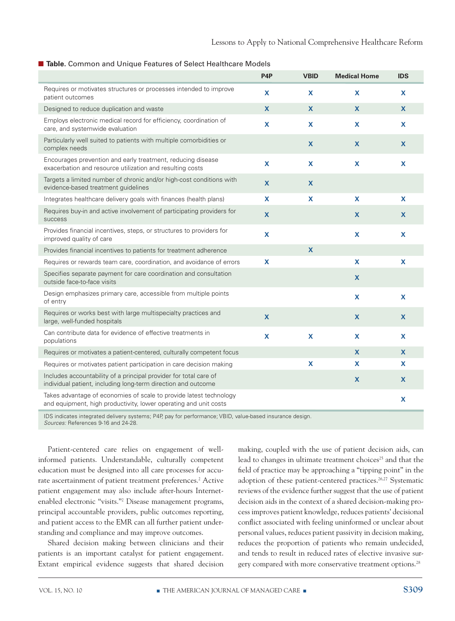#### ■ Table. Common and Unique Features of Select Healthcare Models

|                                                                                                                                        | P <sub>4</sub> P | <b>VBID</b>  | <b>Medical Home</b> | <b>IDS</b> |
|----------------------------------------------------------------------------------------------------------------------------------------|------------------|--------------|---------------------|------------|
| Requires or motivates structures or processes intended to improve<br>patient outcomes                                                  | X                | X            | X                   | X          |
| Designed to reduce duplication and waste                                                                                               | $\mathbf{x}$     | $\mathbf x$  | X                   | X          |
| Employs electronic medical record for efficiency, coordination of<br>care, and systemwide evaluation                                   | $\mathbf x$      | X            | X                   | X          |
| Particularly well suited to patients with multiple comorbidities or<br>complex needs                                                   |                  | $\mathbf x$  | X                   | X          |
| Encourages prevention and early treatment, reducing disease<br>exacerbation and resource utilization and resulting costs               | $\mathbf x$      | X            | X                   | X          |
| Targets a limited number of chronic and/or high-cost conditions with<br>evidence-based treatment guidelines                            | $\mathbf{x}$     | X            |                     |            |
| Integrates healthcare delivery goals with finances (health plans)                                                                      | $\mathbf x$      | $\mathbf x$  | X                   | X          |
| Requires buy-in and active involvement of participating providers for<br>success                                                       | $\mathbf{x}$     |              | X                   | <b>X</b>   |
| Provides financial incentives, steps, or structures to providers for<br>improved quality of care                                       | $\mathbf x$      |              | X                   | X          |
| Provides financial incentives to patients for treatment adherence                                                                      |                  | X            |                     |            |
| Requires or rewards team care, coordination, and avoidance of errors                                                                   | $\mathbf x$      |              | X                   | X          |
| Specifies separate payment for care coordination and consultation<br>outside face-to-face visits                                       |                  |              | X                   |            |
| Design emphasizes primary care, accessible from multiple points<br>of entry                                                            |                  |              | X                   | <b>X</b>   |
| Requires or works best with large multispecialty practices and<br>large, well-funded hospitals                                         | X                |              | X                   | X          |
| Can contribute data for evidence of effective treatments in<br>populations                                                             | $\mathbf x$      | $\mathbf{x}$ | X                   | <b>X</b>   |
| Requires or motivates a patient-centered, culturally competent focus                                                                   |                  |              | X                   | X          |
| Requires or motivates patient participation in care decision making                                                                    |                  | $\mathbf{x}$ | X                   | X          |
| Includes accountability of a principal provider for total care of<br>individual patient, including long-term direction and outcome     |                  |              | X                   | X          |
| Takes advantage of economies of scale to provide latest technology<br>and equipment, high productivity, lower operating and unit costs |                  |              |                     | X          |
| <b>Contract Contract Contract</b>                                                                                                      |                  |              |                     |            |

IDS indicates integrated delivery systems; P4P, pay for performance; VBID, value-based insurance design. *Sources:* References 9-16 and 24-28.

Patient-centered care relies on engagement of wellinformed patients. Understandable, culturally competent education must be designed into all care processes for accurate ascertainment of patient treatment preferences.<sup>2</sup> Active patient engagement may also include after-hours Internetenabled electronic "visits."2 Disease management programs, principal accountable providers, public outcomes reporting, and patient access to the EMR can all further patient understanding and compliance and may improve outcomes.

Shared decision making between clinicians and their patients is an important catalyst for patient engagement. Extant empirical evidence suggests that shared decision making, coupled with the use of patient decision aids, can lead to changes in ultimate treatment choices<sup>25</sup> and that the field of practice may be approaching a "tipping point" in the adoption of these patient-centered practices.<sup>26,27</sup> Systematic reviews of the evidence further suggest that the use of patient decision aids in the context of a shared decision-making process improves patient knowledge, reduces patients' decisional conflict associated with feeling uninformed or unclear about personal values, reduces patient passivity in decision making, reduces the proportion of patients who remain undecided, and tends to result in reduced rates of elective invasive surgery compared with more conservative treatment options.<sup>28</sup>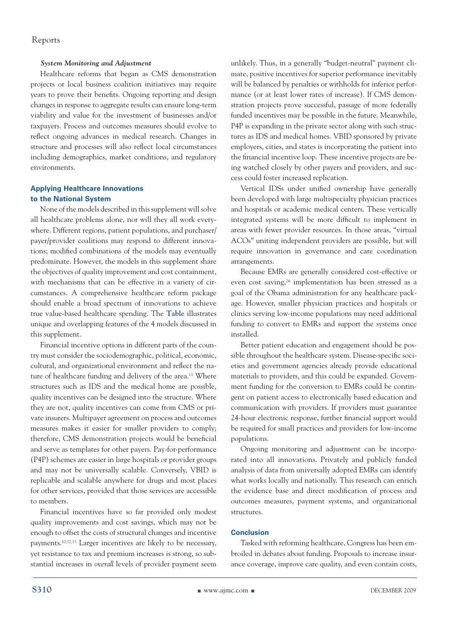#### *System Monitoring and Adjustment*

Healthcare reforms that began as CMS demonstration projects or local business coalition initiatives may require years to prove their benefits. Ongoing reporting and design changes in response to aggregate results can ensure long-term viability and value for the investment of businesses and/or taxpayers. Process and outcomes measures should evolve to reflect ongoing advances in medical research. Changes in structure and processes will also reflect local circumstances including demographics, market conditions, and regulatory environments.

#### **Applying Healthcare Innovations to the National System**

None of the models described in this supplement will solve all healthcare problems alone, nor will they all work everywhere. Different regions, patient populations, and purchaser/ payer/provider coalitions may respond to different innovations; modified combinations of the models may eventually predominate. However, the models in this supplement share the objectives of quality improvement and cost containment, with mechanisms that can be effective in a variety of circumstances. A comprehensive healthcare reform package should enable a broad spectrum of innovations to achieve true value-based healthcare spending. The **Table** illustrates unique and overlapping features of the 4 models discussed in this supplement.

Financial incentive options in different parts of the country must consider the sociodemographic, political, economic, cultural, and organizational environment and reflect the nature of healthcare funding and delivery of the area.<sup>11</sup> Where structures such as IDS and the medical home are possible, quality incentives can be designed into the structure. Where they are not, quality incentives can come from CMS or private insurers. Multipayer agreement on process and outcomes measures makes it easier for smaller providers to comply; therefore, CMS demonstration projects would be beneficial and serve as templates for other payers. Pay-for-performance (P4P) schemes are easier in large hospitals or provider groups and may not be universally scalable. Conversely, VBID is replicable and scalable anywhere for drugs and most places for other services, provided that those services are accessible to members.

Financial incentives have so far provided only modest quality improvements and cost savings, which may not be enough to offset the costs of structural changes and incentive payments.10,12,13 Larger incentives are likely to be necessary, yet resistance to tax and premium increases is strong, so substantial increases in *overall* levels of provider payment seem unlikely. Thus, in a generally "budget-neutral" payment climate, positive incentives for superior performance inevitably will be balanced by penalties or withholds for inferior performance (or at least lower rates of increase). If CMS demonstration projects prove successful, passage of more federally funded incentives may be possible in the future. Meanwhile, P4P is expanding in the private sector along with such structures as IDS and medical homes. VBID sponsored by private employers, cities, and states is incorporating the patient into the financial incentive loop. These incentive projects are being watched closely by other payers and providers, and success could foster increased replication.

Vertical IDSs under unified ownership have generally been developed with large multispecialty physician practices and hospitals or academic medical centers. These vertically integrated systems will be more difficult to implement in areas with fewer provider resources. In those areas, "virtual ACOs" uniting independent providers are possible, but will require innovation in governance and care coordination arrangements.

Because EMRs are generally considered cost-effective or even cost saving,<sup>24</sup> implementation has been stressed as a goal of the Obama administration for any healthcare package. However, smaller physician practices and hospitals or clinics serving low-income populations may need additional funding to convert to EMRs and support the systems once installed.

Better patient education and engagement should be possible throughout the healthcare system. Disease-specific societies and government agencies already provide educational materials to providers, and this could be expanded. Government funding for the conversion to EMRs could be contingent on patient access to electronically based education and communication with providers. If providers must guarantee 24-hour electronic response, further financial support would be required for small practices and providers for low-income populations.

Ongoing monitoring and adjustment can be incorporated into all innovations. Privately and publicly funded analysis of data from universally adopted EMRs can identify what works locally and nationally. This research can enrich the evidence base and direct modification of process and outcomes measures, payment systems, and organizational structures.

#### **Conclusion**

Tasked with reforming healthcare, Congress has been embroiled in debates about funding. Proposals to increase insurance coverage, improve care quality, and even contain costs,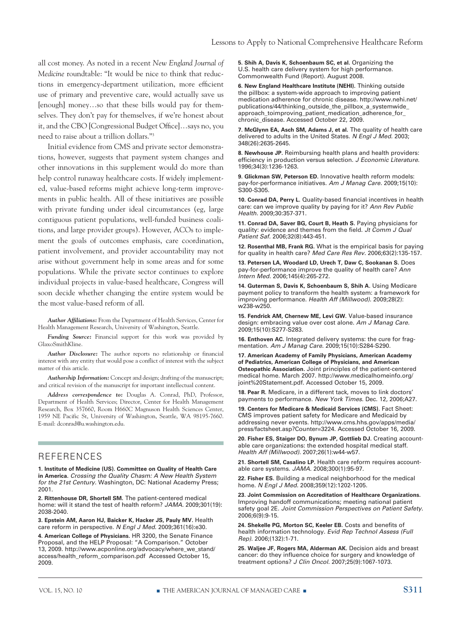all cost money. As noted in a recent *New England Journal of Medicine* roundtable: "It would be nice to think that reductions in emergency-department utilization, more efficient use of primary and preventive care, would actually save us [enough] money…so that these bills would pay for themselves. They don't pay for themselves, if we're honest about it, and the CBO [Congressional Budget Office]…says no, you need to raise about a trillion dollars."3

Initial evidence from CMS and private sector demonstrations, however, suggests that payment system changes and other innovations in this supplement would do more than help control runaway healthcare costs. If widely implemented, value-based reforms might achieve long-term improvements in public health. All of these initiatives are possible with private funding under ideal circumstances (eg, large contiguous patient populations, well-funded business coalitions, and large provider groups). However, ACOs to implement the goals of outcomes emphasis, care coordination, patient involvement, and provider accountability may not arise without government help in some areas and for some populations. While the private sector continues to explore individual projects in value-based healthcare, Congress will soon decide whether changing the entire system would be the most value-based reform of all.

*Author Affiliations:* From the Department of Health Services, Center for Health Management Research, University of Washington, Seattle.

*Funding Source:* Financial support for this work was provided by GlaxoSmithKline.

*Author Disclosure:* The author reports no relationship or financial interest with any entity that would pose a conflict of interest with the subject matter of this article.

*Authorship Information:* Concept and design; drafting of the manuscript; and critical revision of the manuscript for important intellectual content.

*Address correspondence to:* Douglas A. Conrad, PhD, Professor, Department of Health Services; Director, Center for Health Management Research, Box 357660, Room H660C Magnuson Health Sciences Center, 1959 NE Pacific St, University of Washington, Seattle, WA 98195-7660. E-mail: dconrad@u.washington.edu.

#### **REFERENCES**

**1. Institute of Medicine (US). Committee on Quality of Health Care in America.** *Crossing the Quality Chasm: A New Health System for the 21st Century.* Washington, DC: National Academy Press; 2001.

**2. Rittenhouse DR, Shortell SM.** The patient-centered medical home: will it stand the test of health reform? *JAMA.* 2009;301(19): 2038-2040.

**3. Epstein AM, Aaron HJ, Baicker K, Hacker JS, Pauly MV.** Health care reform in perspective. *N Engl J Med.* 2009;361(16):e30.

**4. American College of Physicians.** HR 3200, the Senate Finance Proposal, and the HELP Proposal: "A Comparison." October 13, 2009. http://www.acponline.org/advocacy/where\_we\_stand/ access/health\_reform\_comparison.pdf Accessed October 15, 2009.

**5. Shih A, Davis K, Schoenbaum SC, et al.** Organizing the U.S. health care delivery system for high performance. Commonwealth Fund (Report). August 2008.

**6. New England Healthcare Institute (NEHI).** Thinking outside the pillbox: a system-wide approach to improving patient medication adherence for chronic disease. http://www.nehi.net/ publications/44/thinking\_outside\_the\_pillbox\_a\_systemwide\_ approach\_toimproving\_patient\_medication\_adherence\_for\_ chronic\_disease. Accessed October 22, 2009.

**7. McGlynn EA, Asch SM, Adams J, et al.** The quality of health care delivered to adults in the United States. *N Engl J Med.* 2003; 348(26):2635-2645.

**8. Newhouse JP.** Reimbursing health plans and health providers: efficiency in production versus selection. *J Economic Literature.* 1996;34(3):1236-1263.

**9. Glickman SW, Peterson ED.** Innovative health reform models: pay-for-performance initiatives. *Am J Manag Care.* 2009;15(10): S300-S305.

**10. Conrad DA, Perry L.** Quality-based financial incentives in health care: can we improve quality by paying for it? *Ann Rev Public Health.* 2009;30:357-371.

**11. Conrad DA, Saver BG, Court B, Heath S.** Paying physicians for quality: evidence and themes from the field. *Jt Comm J Qual Patient Saf.* 2006;32(8):443-451.

**12. Rosenthal MB, Frank RG.** What is the empirical basis for paying for quality in health care? *Med Care Res Rev.* 2006;63(2):135-157.

**13. Petersen LA, Woodard LD, Urech T, Daw C, Sookanan S.** Does pay-for-performance improve the quality of health care? *Ann Intern Med.* 2006;145(4):265-272.

**14. Guterman S, Davis K, Schoenbaum S, Shih A.** Using Medicare payment policy to transform the health system: a framework for improving performance. *Health Aff (Millwood).* 2009;28(2): w238-w250.

**15. Fendrick AM, Chernew ME, Levi GW.** Value-based insurance design: embracing value over cost alone. *Am J Manag Care.* 2009;15(10):S277-S283.

**16. Enthoven AC.** Integrated delivery systems: the cure for fragmentation. *Am J Manag Care.* 2009;15(10):S284-S290.

**17. American Academy of Family Physicians, American Academy of Pediatrics, American College of Physicians, and American Osteopathic Association.** Joint principles of the patient-centered medical home. March 2007. http://www.medicalhomeinfo.org/ joint%20Statement.pdf. Accessed October 15, 2009.

**18. Pear R.** Medicare, in a different tack, moves to link doctors' payments to performance. *New York Times.* Dec. 12, 2006;A27.

**19. Centers for Medicare & Medicaid Services (CMS).** Fact Sheet: CMS improves patient safety for Medicare and Medicaid by addressing never events. http://www.cms.hhs.gov/apps/media/ press/factsheet.asp?Counter=3224. Accessed October 16, 2009.

**20. Fisher ES, Staiger DO, Bynum JP, Gottlieb DJ.** Creating accountable care organizations: the extended hospital medical staff. *Health Aff (Millwood).* 2007;26(1):w44-w57.

**21. Shortell SM, Casalino LP.** Health care reform requires accountable care systems. *JAMA.* 2008;300(1):95-97.

**22. Fisher ES.** Building a medical neighborhood for the medical home. *N Engl J Med.* 2008;359(12):1202-1205.

**23. Joint Commission on Accreditation of Healthcare Organizations.** Improving handoff communications; meeting national patient safety goal 2E. *Joint Commission Perspectives on Patient Safety.*  2006;6(9):9-15.

**24. Shekelle PG, Morton SC, Keeler EB.** Costs and benefits of health information technology. *Evid Rep Technol Assess (Full Rep).* 2006;(132):1-71.

**25. Waljee JF, Rogers MA, Alderman AK.** Decision aids and breast cancer: do they influence choice for surgery and knowledge of treatment options? *J Clin Oncol.* 2007;25(9):1067-1073.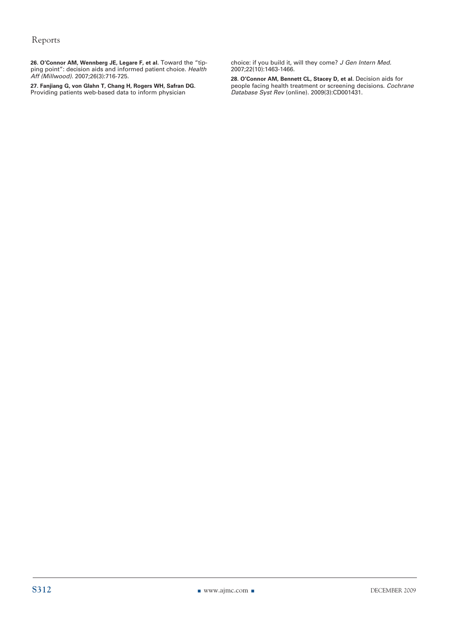**26. O'Connor AM, Wennberg JE, Legare F, et al.** Toward the "tipping point": decision aids and informed patient choice. *Health Aff (Millwood).* 2007;26(3):716-725.

**27. Fanjiang G, von Glahn T, Chang H, Rogers WH, Safran DG.** Providing patients web-based data to inform physician

choice: if you build it, will they come? *J Gen Intern Med.* 2007;22(10):1463-1466.

**28. O'Connor AM, Bennett CL, Stacey D, et al.** Decision aids for people facing health treatment or screening decisions. *Cochrane Database Syst Rev* (online). 2009(3):CD001431.